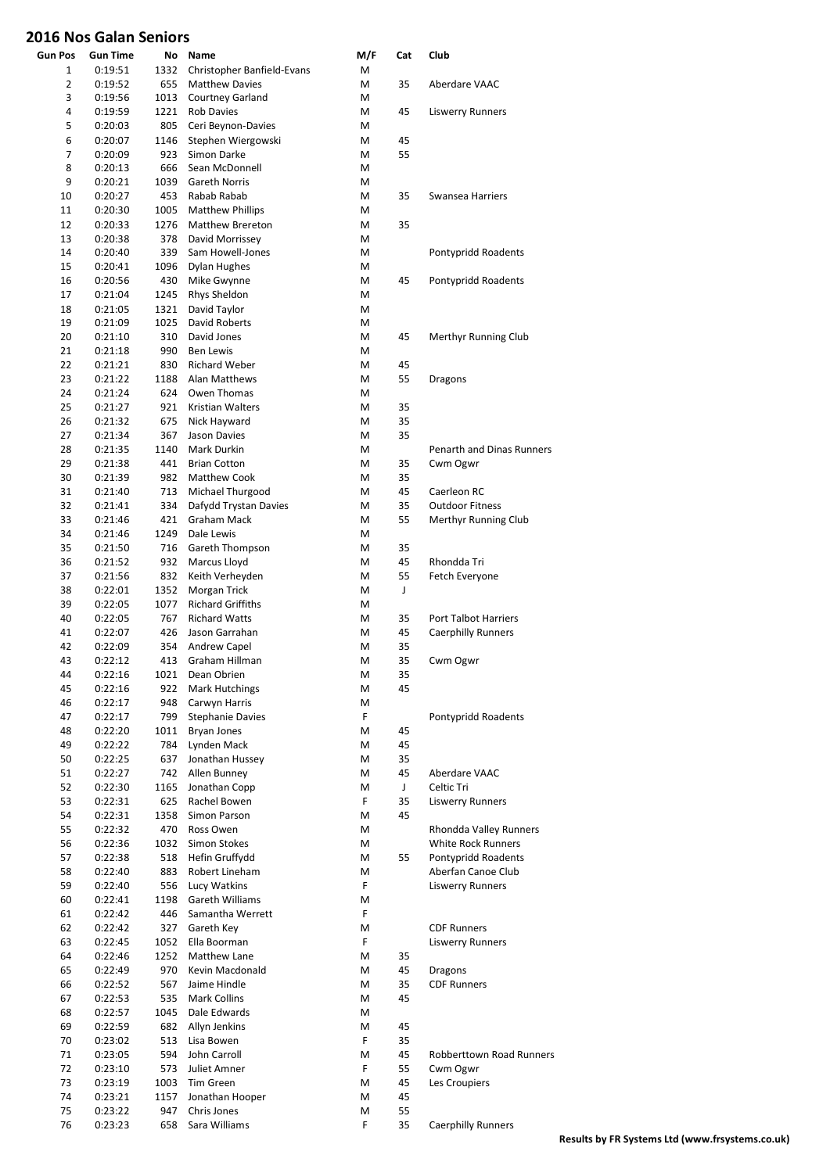| <b>Gun Pos</b> | <b>Gun Time</b> | No   | Name                       | M/F | Cat | Club                            |
|----------------|-----------------|------|----------------------------|-----|-----|---------------------------------|
| 1              | 0:19:51         | 1332 | Christopher Banfield-Evans | М   |     |                                 |
| 2              | 0:19:52         | 655  | <b>Matthew Davies</b>      | M   | 35  | Aberdare VAAC                   |
| 3              | 0:19:56         | 1013 | <b>Courtney Garland</b>    | M   |     |                                 |
| 4              | 0:19:59         | 1221 | <b>Rob Davies</b>          | M   | 45  | <b>Liswerry Runners</b>         |
| 5              | 0:20:03         | 805  | Ceri Beynon-Davies         | М   |     |                                 |
| 6              | 0:20:07         | 1146 | Stephen Wiergowski         | M   | 45  |                                 |
| 7              | 0:20:09         | 923  | Simon Darke                | M   | 55  |                                 |
| 8              | 0:20:13         | 666  | Sean McDonnell             | M   |     |                                 |
| 9              | 0:20:21         | 1039 | Gareth Norris              | M   |     |                                 |
| 10             | 0:20:27         | 453  | Rabab Rabab                | м   | 35  | Swansea Harriers                |
| 11             | 0:20:30         | 1005 | <b>Matthew Phillips</b>    | M   |     |                                 |
| 12             | 0:20:33         | 1276 | Matthew Brereton           | M   | 35  |                                 |
| 13             | 0:20:38         | 378  | David Morrissey            | M   |     |                                 |
| 14             | 0:20:40         | 339  | Sam Howell-Jones           | М   |     | Pontypridd Roadents             |
| 15             | 0:20:41         | 1096 | Dylan Hughes               | M   |     |                                 |
| 16             | 0:20:56         | 430  | Mike Gwynne                | M   | 45  | Pontypridd Roadents             |
| 17             | 0:21:04         | 1245 | Rhys Sheldon               | M   |     |                                 |
| 18             | 0:21:05         | 1321 | David Taylor               | M   |     |                                 |
| 19             | 0:21:09         | 1025 | David Roberts              | M   |     |                                 |
| 20             | 0:21:10         | 310  | David Jones                | M   | 45  | Merthyr Running Club            |
| 21             | 0:21:18         | 990  | <b>Ben Lewis</b>           | M   |     |                                 |
| 22             | 0:21:21         | 830  | <b>Richard Weber</b>       | M   | 45  |                                 |
| 23             | 0:21:22         | 1188 | Alan Matthews              | М   | 55  | Dragons                         |
| 24             | 0:21:24         | 624  | Owen Thomas                | M   |     |                                 |
| 25             | 0:21:27         | 921  | Kristian Walters           | M   | 35  |                                 |
| 26             | 0:21:32         | 675  | Nick Hayward               | M   | 35  |                                 |
| 27             | 0:21:34         | 367  | Jason Davies               | M   | 35  |                                 |
| 28             | 0:21:35         | 1140 | Mark Durkin                | М   |     | Penarth and Dinas Runners       |
| 29             | 0:21:38         | 441  | <b>Brian Cotton</b>        | M   | 35  | Cwm Ogwr                        |
| 30             | 0:21:39         | 982  | <b>Matthew Cook</b>        | M   | 35  |                                 |
| 31             | 0:21:40         | 713  | Michael Thurgood           | M   | 45  | Caerleon RC                     |
| 32             | 0:21:41         | 334  | Dafydd Trystan Davies      | M   | 35  | <b>Outdoor Fitness</b>          |
| 33             | 0:21:46         | 421  | Graham Mack                | M   | 55  | Merthyr Running Club            |
| 34             | 0:21:46         | 1249 | Dale Lewis                 | M   |     |                                 |
| 35             | 0:21:50         | 716  | Gareth Thompson            | M   | 35  |                                 |
| 36             | 0:21:52         | 932  | Marcus Lloyd               | M   | 45  | Rhondda Tri                     |
| 37             | 0:21:56         | 832  | Keith Verheyden            | M   | 55  | Fetch Everyone                  |
| 38             | 0:22:01         | 1352 | Morgan Trick               | M   | J   |                                 |
| 39             | 0:22:05         | 1077 | <b>Richard Griffiths</b>   | M   |     |                                 |
| 40             | 0:22:05         | 767  | <b>Richard Watts</b>       | M   | 35  | <b>Port Talbot Harriers</b>     |
| 41             | 0:22:07         | 426  | Jason Garrahan             | M   | 45  | <b>Caerphilly Runners</b>       |
| 42             | 0:22:09         | 354  | Andrew Capel               | м   | 35  |                                 |
| 43             | 0:22:12         | 413  | Graham Hillman             | M   | 35  | Cwm Ogwr                        |
| 44             | 0:22:16         | 1021 | Dean Obrien                | Μ   | 35  |                                 |
| 45             | 0:22:16         | 922  | Mark Hutchings             | M   | 45  |                                 |
| 46             | 0:22:17         | 948  | Carwyn Harris              | M   |     |                                 |
| 47             | 0:22:17         | 799  | <b>Stephanie Davies</b>    | F.  |     | Pontypridd Roadents             |
| 48             | 0:22:20         | 1011 | <b>Bryan Jones</b>         | M   | 45  |                                 |
| 49             | 0:22:22         | 784  | Lynden Mack                | M   | 45  |                                 |
| 50             | 0:22:25         | 637  | Jonathan Hussey            | M   | 35  |                                 |
| 51             | 0:22:27         | 742  | Allen Bunney               | M   | 45  | Aberdare VAAC                   |
| 52             | 0:22:30         | 1165 | Jonathan Copp              | M   | J   | Celtic Tri                      |
| 53             | 0:22:31         | 625  | Rachel Bowen               | F.  | 35  | <b>Liswerry Runners</b>         |
| 54             | 0:22:31         | 1358 | Simon Parson               | M   | 45  |                                 |
| 55             | 0:22:32         | 470  | Ross Owen                  | M   |     | Rhondda Valley Runners          |
| 56             | 0:22:36         | 1032 | Simon Stokes               | M   |     | White Rock Runners              |
| 57             | 0:22:38         | 518  | Hefin Gruffydd             | M   | 55  | Pontypridd Roadents             |
| 58             | 0:22:40         | 883  | Robert Lineham             | M   |     | Aberfan Canoe Club              |
| 59             | 0:22:40         | 556  | Lucy Watkins               | F.  |     | <b>Liswerry Runners</b>         |
| 60             | 0:22:41         | 1198 | Gareth Williams            | M   |     |                                 |
| 61             | 0:22:42         | 446  | Samantha Werrett           | F.  |     |                                 |
| 62             | 0:22:42         | 327  | Gareth Key                 | M   |     | <b>CDF Runners</b>              |
| 63             | 0:22:45         | 1052 | Ella Boorman               | F   |     | <b>Liswerry Runners</b>         |
| 64             | 0:22:46         | 1252 | Matthew Lane               | M   | 35  |                                 |
| 65             | 0:22:49         | 970  | Kevin Macdonald            | M   | 45  | <b>Dragons</b>                  |
| 66             | 0:22:52         | 567  | Jaime Hindle               | M   | 35  | <b>CDF Runners</b>              |
| 67             | 0:22:53         | 535  | Mark Collins               | M   | 45  |                                 |
| 68             | 0:22:57         | 1045 | Dale Edwards               | M   |     |                                 |
| 69             | 0:22:59         | 682  | Allyn Jenkins              | M   | 45  |                                 |
| 70             | 0:23:02         | 513  | Lisa Bowen                 | F   | 35  |                                 |
| 71             | 0:23:05         | 594  | John Carroll               | M   | 45  | <b>Robberttown Road Runners</b> |
| 72             | 0:23:10         | 573  | Juliet Amner               | F.  | 55  | Cwm Ogwr                        |
| 73             | 0:23:19         | 1003 | Tim Green                  | M   | 45  | Les Croupiers                   |
| 74             | 0:23:21         | 1157 | Jonathan Hooper            | M   | 45  |                                 |
| 75             | 0:23:22         | 947  | Chris Jones                | M   | 55  |                                 |
| 76             | 0:23:23         | 658  | Sara Williams              | F   | 35  | <b>Caerphilly Runners</b>       |
|                |                 |      |                            |     |     |                                 |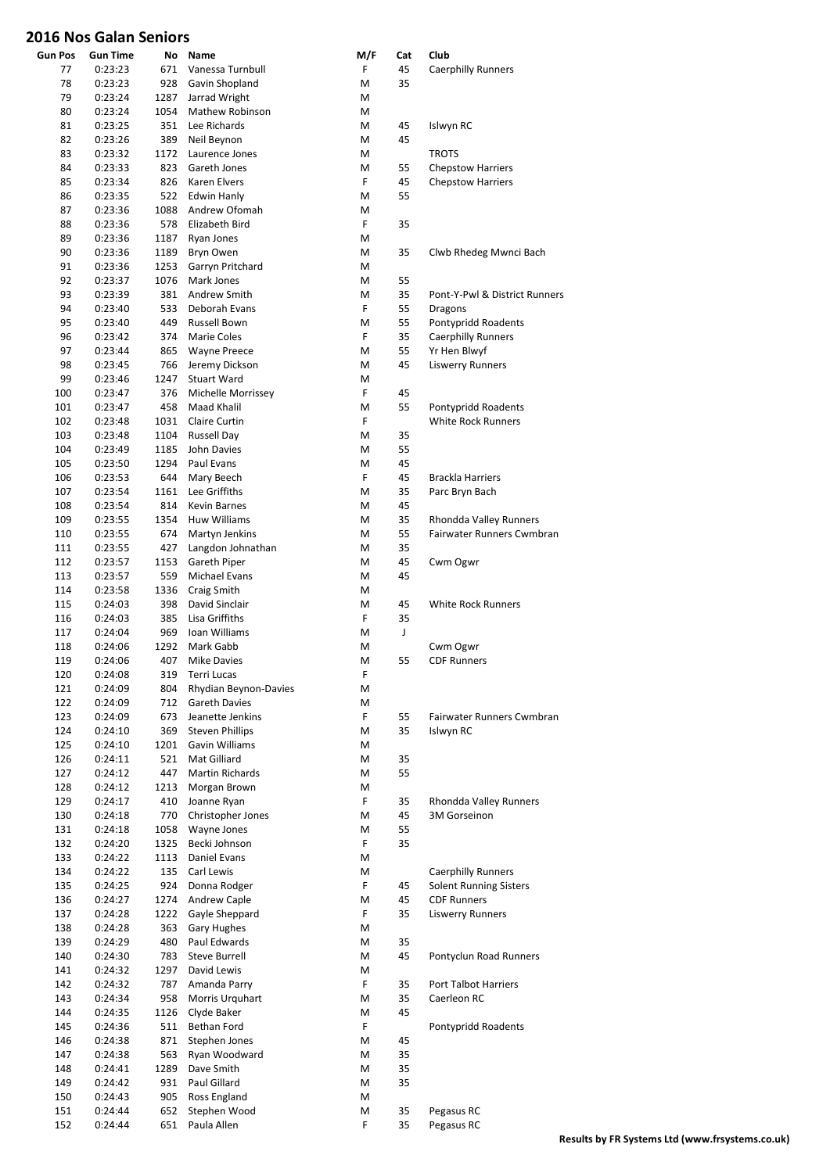| <b>Gun Pos</b> | Gun Time | No   | Name                              | M/F | Cat | Club                          |
|----------------|----------|------|-----------------------------------|-----|-----|-------------------------------|
| 77             | 0:23:23  | 671  | Vanessa Turnbull                  | F   | 45  | <b>Caerphilly Runners</b>     |
| 78             | 0:23:23  | 928  | Gavin Shopland                    | M   | 35  |                               |
| 79             | 0:23:24  | 1287 | Jarrad Wright                     | M   |     |                               |
| 80             | 0:23:24  | 1054 | Mathew Robinson                   | M   |     |                               |
| 81             | 0:23:25  | 351  | Lee Richards                      | M   | 45  | Islwyn RC                     |
| 82             | 0:23:26  | 389  | Neil Beynon                       | M   | 45  |                               |
| 83             | 0:23:32  | 1172 | Laurence Jones                    | M   |     | <b>TROTS</b>                  |
| 84             | 0:23:33  | 823  | Gareth Jones                      | M   | 55  | <b>Chepstow Harriers</b>      |
| 85             | 0:23:34  | 826  | Karen Elvers                      | F   | 45  | <b>Chepstow Harriers</b>      |
| 86             | 0:23:35  | 522  | <b>Edwin Hanly</b>                | M   | 55  |                               |
| 87             | 0:23:36  | 1088 | Andrew Ofomah                     | M   |     |                               |
| 88             | 0:23:36  | 578  | Elizabeth Bird                    | F   | 35  |                               |
| 89             | 0:23:36  | 1187 | Ryan Jones                        | M   |     |                               |
| 90             | 0:23:36  | 1189 | Bryn Owen                         | M   | 35  | Clwb Rhedeg Mwnci Bach        |
| 91             | 0:23:36  | 1253 | Garryn Pritchard                  | M   |     |                               |
| 92             | 0:23:37  | 1076 | Mark Jones                        | M   | 55  |                               |
| 93             | 0:23:39  | 381  | Andrew Smith                      | M   | 35  | Pont-Y-Pwl & District Runners |
| 94             | 0:23:40  | 533  | Deborah Evans                     | F   | 55  | Dragons                       |
| 95             | 0:23:40  | 449  | Russell Bown                      | M   | 55  | Pontypridd Roadents           |
| 96             | 0:23:42  | 374  | Marie Coles                       | F   | 35  | <b>Caerphilly Runners</b>     |
| 97             | 0:23:44  | 865  | <b>Wayne Preece</b>               | M   | 55  | Yr Hen Blwyf                  |
| 98             | 0:23:45  | 766  | Jeremy Dickson                    | M   | 45  | <b>Liswerry Runners</b>       |
| 99             | 0:23:46  | 1247 | <b>Stuart Ward</b>                | M   |     |                               |
| 100            | 0:23:47  | 376  |                                   | F   | 45  |                               |
|                |          |      | Michelle Morrissey<br>Maad Khalil |     | 55  |                               |
| 101            | 0:23:47  | 458  |                                   | M   |     | Pontypridd Roadents           |
| 102            | 0:23:48  | 1031 | Claire Curtin                     | F   |     | <b>White Rock Runners</b>     |
| 103            | 0:23:48  | 1104 | Russell Day                       | M   | 35  |                               |
| 104            | 0:23:49  | 1185 | John Davies                       | M   | 55  |                               |
| 105            | 0:23:50  | 1294 | Paul Evans                        | M   | 45  |                               |
| 106            | 0:23:53  | 644  | Mary Beech                        | F   | 45  | <b>Brackla Harriers</b>       |
| 107            | 0:23:54  | 1161 | Lee Griffiths                     | M   | 35  | Parc Bryn Bach                |
| 108            | 0:23:54  | 814  | Kevin Barnes                      | M   | 45  |                               |
| 109            | 0:23:55  | 1354 | Huw Williams                      | M   | 35  | Rhondda Valley Runners        |
| 110            | 0:23:55  | 674  | Martyn Jenkins                    | M   | 55  | Fairwater Runners Cwmbran     |
| 111            | 0:23:55  | 427  | Langdon Johnathan                 | M   | 35  |                               |
| 112            | 0:23:57  | 1153 | Gareth Piper                      | M   | 45  | Cwm Ogwr                      |
| 113            | 0:23:57  | 559  | Michael Evans                     | M   | 45  |                               |
| 114            | 0:23:58  | 1336 | Craig Smith                       | M   |     |                               |
| 115            | 0:24:03  | 398  | David Sinclair                    | M   | 45  | <b>White Rock Runners</b>     |
| 116            | 0:24:03  | 385  | Lisa Griffiths                    | F   | 35  |                               |
|                |          |      |                                   |     |     |                               |
| 117            | 0:24:04  | 969  | Ioan Williams                     | M   | J   |                               |
| 118            | 0:24:06  | 1292 | Mark Gabb                         | M   |     | Cwm Ogwr                      |
| 119            | 0:24:06  | 407  | <b>Mike Davies</b>                | M   | 55  | <b>CDF Runners</b>            |
| 120            | 0:24:08  | 319  | Terri Lucas                       | F   |     |                               |
| 121            | 0:24:09  | 804  | Rhydian Beynon-Davies             | M   |     |                               |
| 122            | 0:24:09  | 712  | Gareth Davies                     | M   |     |                               |
| 123            | 0:24:09  | 673  | Jeanette Jenkins                  | F   | 55  | Fairwater Runners Cwmbran     |
| 124            | 0:24:10  | 369  | <b>Steven Phillips</b>            | M   | 35  | Islwyn RC                     |
| 125            | 0:24:10  | 1201 | Gavin Williams                    | M   |     |                               |
| 126            | 0:24:11  | 521  | Mat Gilliard                      | M   | 35  |                               |
| 127            | 0:24:12  | 447  | Martin Richards                   | M   | 55  |                               |
| 128            | 0:24:12  | 1213 | Morgan Brown                      | M   |     |                               |
| 129            | 0:24:17  | 410  | Joanne Ryan                       | F   | 35  | Rhondda Valley Runners        |
| 130            | 0:24:18  | 770  | Christopher Jones                 | M   | 45  | 3M Gorseinon                  |
| 131            | 0:24:18  | 1058 | Wayne Jones                       | M   | 55  |                               |
| 132            | 0:24:20  | 1325 | Becki Johnson                     | F   | 35  |                               |
| 133            | 0:24:22  | 1113 | Daniel Evans                      | M   |     |                               |
| 134            | 0:24:22  | 135  | Carl Lewis                        | M   |     | <b>Caerphilly Runners</b>     |
| 135            | 0:24:25  | 924  | Donna Rodger                      | F   | 45  | <b>Solent Running Sisters</b> |
| 136            | 0:24:27  | 1274 | Andrew Caple                      | M   | 45  | <b>CDF Runners</b>            |
| 137            | 0:24:28  | 1222 | Gayle Sheppard                    | F   | 35  | <b>Liswerry Runners</b>       |
| 138            | 0:24:28  | 363  | <b>Gary Hughes</b>                | M   |     |                               |
| 139            | 0:24:29  | 480  | Paul Edwards                      | M   | 35  |                               |
|                |          |      |                                   |     |     |                               |
| 140            | 0:24:30  | 783  | Steve Burrell                     | M   | 45  | Pontyclun Road Runners        |
| 141            | 0:24:32  | 1297 | David Lewis                       | M   |     |                               |
| 142            | 0:24:32  | 787  | Amanda Parry                      | F   | 35  | <b>Port Talbot Harriers</b>   |
| 143            | 0:24:34  | 958  | Morris Urguhart                   | M   | 35  | Caerleon RC                   |
| 144            | 0:24:35  | 1126 | Clyde Baker                       | M   | 45  |                               |
| 145            | 0:24:36  | 511  | Bethan Ford                       | F   |     | Pontypridd Roadents           |
| 146            | 0:24:38  | 871  | Stephen Jones                     | M   | 45  |                               |
| 147            | 0:24:38  | 563  | Ryan Woodward                     | M   | 35  |                               |
| 148            | 0:24:41  | 1289 | Dave Smith                        | M   | 35  |                               |
| 149            | 0:24:42  | 931  | Paul Gillard                      | М   | 35  |                               |
| 150            | 0:24:43  | 905  | Ross England                      | M   |     |                               |
| 151            | 0:24:44  | 652  | Stephen Wood                      | M   | 35  | Pegasus RC                    |
| 152            | 0:24:44  | 651  | Paula Allen                       | F   | 35  | Pegasus RC                    |
|                |          |      |                                   |     |     |                               |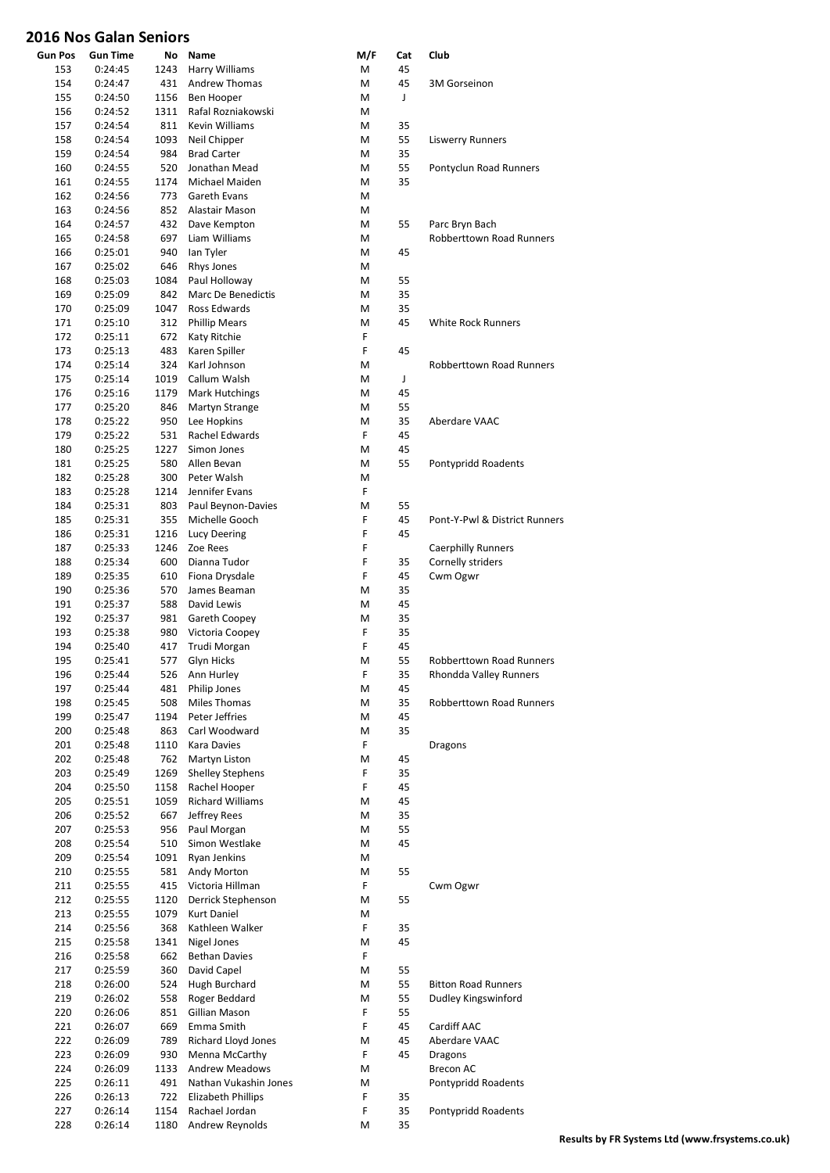| <b>Gun Pos</b> | Gun Time           | No          | Name                                        | M/F    | Cat      | Club                                                      |
|----------------|--------------------|-------------|---------------------------------------------|--------|----------|-----------------------------------------------------------|
| 153            | 0:24:45            | 1243        | Harry Williams                              | M      | 45       |                                                           |
| 154            | 0:24:47            | 431         | Andrew Thomas                               | M      | 45       | <b>3M Gorseinon</b>                                       |
| 155            | 0:24:50            | 1156        | Ben Hooper                                  | M      | J        |                                                           |
| 156            | 0:24:52            | 1311<br>811 | Rafal Rozniakowski<br><b>Kevin Williams</b> | М      |          |                                                           |
| 157<br>158     | 0:24:54<br>0:24:54 | 1093        | Neil Chipper                                | М<br>M | 35<br>55 | <b>Liswerry Runners</b>                                   |
| 159            | 0:24:54            | 984         | <b>Brad Carter</b>                          | M      | 35       |                                                           |
| 160            | 0:24:55            | 520         | Jonathan Mead                               | M      | 55       | Pontyclun Road Runners                                    |
| 161            | 0:24:55            | 1174        | Michael Maiden                              | M      | 35       |                                                           |
| 162            | 0:24:56            | 773         | Gareth Evans                                | M      |          |                                                           |
| 163            | 0:24:56            | 852         | Alastair Mason                              | M      |          |                                                           |
| 164            | 0:24:57            | 432         | Dave Kempton                                | M      | 55       | Parc Bryn Bach                                            |
| 165            | 0:24:58            | 697         | Liam Williams                               | M      |          | <b>Robberttown Road Runners</b>                           |
| 166            | 0:25:01            | 940         | lan Tyler                                   | M      | 45       |                                                           |
| 167            | 0:25:02            | 646         | Rhys Jones                                  | M      |          |                                                           |
| 168<br>169     | 0:25:03<br>0:25:09 | 1084<br>842 | Paul Holloway<br>Marc De Benedictis         | M<br>M | 55<br>35 |                                                           |
| 170            | 0:25:09            | 1047        | Ross Edwards                                | M      | 35       |                                                           |
| 171            | 0:25:10            | 312         | <b>Phillip Mears</b>                        | M      | 45       | <b>White Rock Runners</b>                                 |
| 172            | 0:25:11            | 672         | Katy Ritchie                                | F      |          |                                                           |
| 173            | 0:25:13            | 483         | Karen Spiller                               | F      | 45       |                                                           |
| 174            | 0:25:14            | 324         | Karl Johnson                                | M      |          | <b>Robberttown Road Runners</b>                           |
| 175            | 0:25:14            | 1019        | Callum Walsh                                | M      | J        |                                                           |
| 176            | 0:25:16            | 1179        | <b>Mark Hutchings</b>                       | M      | 45       |                                                           |
| 177            | 0:25:20            | 846         | Martyn Strange                              | M      | 55       |                                                           |
| 178            | 0:25:22            | 950         | Lee Hopkins                                 | M      | 35       | Aberdare VAAC                                             |
| 179            | 0:25:22            | 531         | Rachel Edwards                              | F      | 45       |                                                           |
| 180            | 0:25:25            | 1227        | Simon Jones                                 | M      | 45       |                                                           |
| 181            | 0:25:25            | 580         | Allen Bevan                                 | M      | 55       | Pontypridd Roadents                                       |
| 182<br>183     | 0:25:28<br>0:25:28 | 300<br>1214 | Peter Walsh<br>Jennifer Evans               | M<br>F |          |                                                           |
| 184            | 0:25:31            | 803         | Paul Beynon-Davies                          | M      | 55       |                                                           |
| 185            | 0:25:31            | 355         | Michelle Gooch                              | F      | 45       | Pont-Y-Pwl & District Runners                             |
| 186            | 0:25:31            | 1216        | Lucy Deering                                | F      | 45       |                                                           |
| 187            | 0:25:33            | 1246        | Zoe Rees                                    | F      |          | <b>Caerphilly Runners</b>                                 |
| 188            | 0:25:34            | 600         | Dianna Tudor                                | F      | 35       | Cornelly striders                                         |
| 189            | 0:25:35            | 610         | Fiona Drysdale                              | F      | 45       | Cwm Ogwr                                                  |
| 190            | 0:25:36            | 570         | James Beaman                                | М      | 35       |                                                           |
| 191            | 0:25:37            | 588         | David Lewis                                 | M      | 45       |                                                           |
| 192            | 0:25:37            | 981         | Gareth Coopey                               | M      | 35       |                                                           |
| 193            | 0:25:38            | 980         | Victoria Coopey                             | F      | 35       |                                                           |
| 194            | 0:25:40            | 417         | Trudi Morgan                                | F      | 45<br>55 |                                                           |
| 195<br>196     | 0:25:41<br>0:25:44 | 577<br>526  | Glyn Hicks<br>Ann Hurley                    | M<br>F | 35       | <b>Robberttown Road Runners</b><br>Rhondda Valley Runners |
| 197            | 0:25:44            | 481         | Philip Jones                                | M      | 45       |                                                           |
| 198            | 0:25:45            | 508         | Miles Thomas                                | M      | 35       | <b>Robberttown Road Runners</b>                           |
| 199            | 0:25:47            | 1194        | Peter Jeffries                              | M      | 45       |                                                           |
| 200            | 0:25:48            | 863         | Carl Woodward                               | M      | 35       |                                                           |
| 201            | 0:25:48            | 1110        | Kara Davies                                 | F      |          | Dragons                                                   |
| 202            | 0:25:48            | 762         | Martyn Liston                               | M      | 45       |                                                           |
| 203            | 0:25:49            | 1269        | <b>Shelley Stephens</b>                     | F      | 35       |                                                           |
| 204            | 0:25:50            | 1158        | Rachel Hooper                               | F      | 45       |                                                           |
| 205            | 0:25:51            | 1059        | <b>Richard Williams</b>                     | M      | 45       |                                                           |
| 206            | 0:25:52<br>0:25:53 | 667         | Jeffrey Rees<br>Paul Morgan                 | M      | 35<br>55 |                                                           |
| 207<br>208     | 0:25:54            | 956<br>510  | Simon Westlake                              | M<br>M | 45       |                                                           |
| 209            | 0:25:54            | 1091        | Ryan Jenkins                                | M      |          |                                                           |
| 210            | 0:25:55            | 581         | Andy Morton                                 | M      | 55       |                                                           |
| 211            | 0:25:55            | 415         | Victoria Hillman                            | F      |          | Cwm Ogwr                                                  |
| 212            | 0:25:55            | 1120        | Derrick Stephenson                          | M      | 55       |                                                           |
| 213            | 0:25:55            | 1079        | <b>Kurt Daniel</b>                          | М      |          |                                                           |
| 214            | 0:25:56            | 368         | Kathleen Walker                             | F      | 35       |                                                           |
| 215            | 0:25:58            | 1341        | Nigel Jones                                 | M      | 45       |                                                           |
| 216            | 0:25:58            | 662         | <b>Bethan Davies</b>                        | F      |          |                                                           |
| 217            | 0:25:59            | 360         | David Capel                                 | M      | 55       |                                                           |
| 218            | 0:26:00            | 524         | Hugh Burchard                               | M      | 55       | <b>Bitton Road Runners</b>                                |
| 219<br>220     | 0:26:02            | 558<br>851  | Roger Beddard<br>Gillian Mason              | M<br>F | 55<br>55 | Dudley Kingswinford                                       |
| 221            | 0:26:06<br>0:26:07 | 669         | Emma Smith                                  | F      | 45       | Cardiff AAC                                               |
| 222            | 0:26:09            | 789         | Richard Lloyd Jones                         | M      | 45       | Aberdare VAAC                                             |
| 223            | 0:26:09            | 930         | Menna McCarthy                              | F      | 45       | <b>Dragons</b>                                            |
| 224            | 0:26:09            | 1133        | <b>Andrew Meadows</b>                       | М      |          | <b>Brecon AC</b>                                          |
| 225            | 0:26:11            | 491         | Nathan Vukashin Jones                       | M      |          | Pontypridd Roadents                                       |
| 226            | 0:26:13            | 722         | Elizabeth Phillips                          | F      | 35       |                                                           |
| 227            | 0:26:14            | 1154        | Rachael Jordan                              | F      | 35       | Pontypridd Roadents                                       |
| 228            | 0:26:14            | 1180        | <b>Andrew Reynolds</b>                      | M      | 35       |                                                           |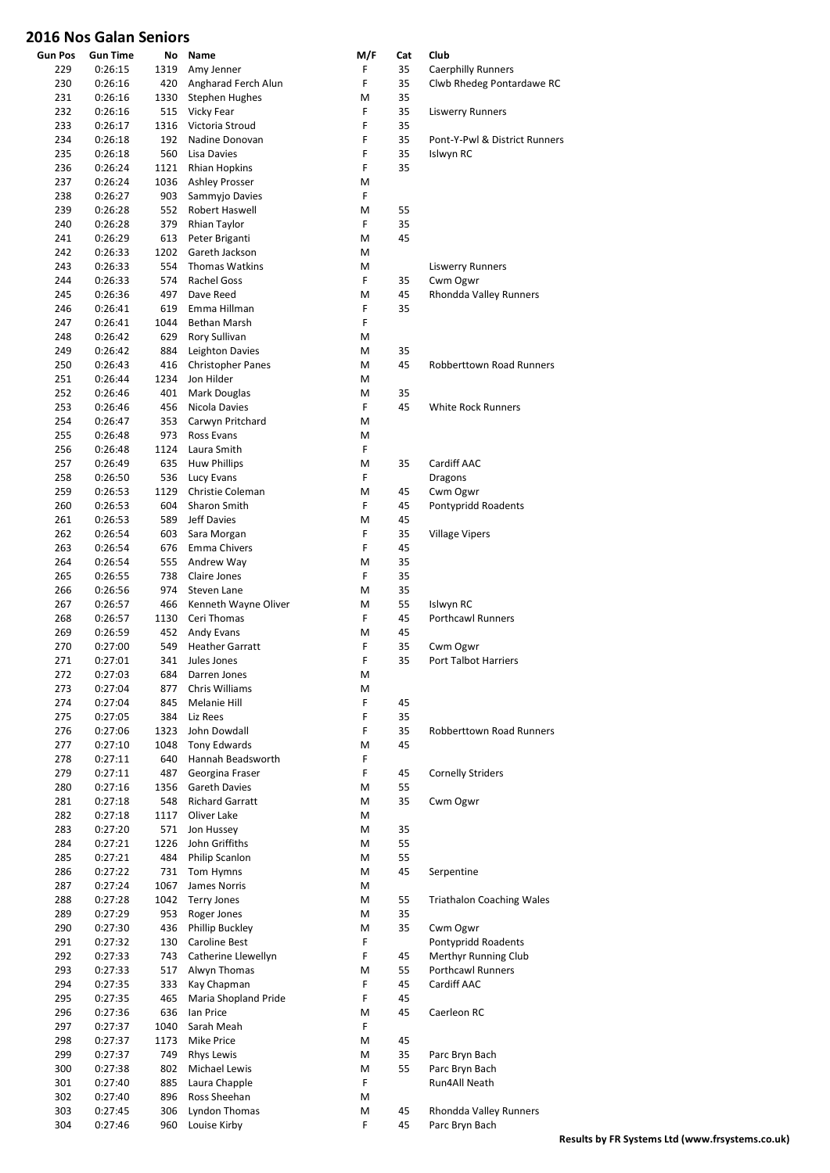| <b>Gun Pos</b> | Gun Time           | No          | Name                     | M/F | Cat      | Club                             |
|----------------|--------------------|-------------|--------------------------|-----|----------|----------------------------------|
| 229            | 0:26:15            | 1319        | Amy Jenner               | F   | 35       | <b>Caerphilly Runners</b>        |
| 230            | 0:26:16            | 420         | Angharad Ferch Alun      | F   | 35       | Clwb Rhedeg Pontardawe RC        |
| 231            | 0:26:16            | 1330        | <b>Stephen Hughes</b>    | M   | 35       |                                  |
| 232            | 0:26:16            | 515         | Vicky Fear               | F   | 35       | <b>Liswerry Runners</b>          |
| 233            | 0:26:17            | 1316        | Victoria Stroud          | F   | 35       |                                  |
| 234            | 0:26:18            | 192         | Nadine Donovan           | F   | 35       | Pont-Y-Pwl & District Runners    |
| 235            | 0:26:18            | 560         | Lisa Davies              | F   | 35       | Islwyn RC                        |
| 236            | 0:26:24            | 1121        | <b>Rhian Hopkins</b>     | F   | 35       |                                  |
| 237            | 0:26:24            | 1036        | <b>Ashley Prosser</b>    | М   |          |                                  |
| 238            | 0:26:27            | 903         | Sammyjo Davies           | F   |          |                                  |
| 239            | 0:26:28            | 552         | Robert Haswell           | M   | 55       |                                  |
| 240            | 0:26:28            | 379         | Rhian Taylor             | F   | 35       |                                  |
| 241            | 0:26:29            | 613         | Peter Briganti           | M   | 45       |                                  |
| 242            | 0:26:33            | 1202        | Gareth Jackson           | M   |          |                                  |
| 243            | 0:26:33            | 554         | <b>Thomas Watkins</b>    | M   |          | <b>Liswerry Runners</b>          |
| 244            | 0:26:33            | 574         | <b>Rachel Goss</b>       | F   | 35       | Cwm Ogwr                         |
| 245            | 0:26:36            | 497         | Dave Reed                | M   | 45       | Rhondda Valley Runners           |
| 246            | 0:26:41            | 619         | Emma Hillman             | F   | 35       |                                  |
| 247            | 0:26:41            | 1044        | Bethan Marsh             | F   |          |                                  |
|                |                    |             | Rory Sullivan            |     |          |                                  |
| 248            | 0:26:42            | 629         |                          | М   |          |                                  |
| 249            | 0:26:42            | 884         | Leighton Davies          | M   | 35       |                                  |
| 250            | 0:26:43            | 416         | <b>Christopher Panes</b> | M   | 45       | <b>Robberttown Road Runners</b>  |
| 251            | 0:26:44            | 1234        | Jon Hilder               | M   |          |                                  |
| 252            | 0:26:46            | 401         | Mark Douglas             | М   | 35       |                                  |
| 253            | 0:26:46            | 456         | Nicola Davies            | F   | 45       | <b>White Rock Runners</b>        |
| 254            | 0:26:47            | 353         | Carwyn Pritchard         | M   |          |                                  |
| 255            | 0:26:48            | 973         | Ross Evans               | М   |          |                                  |
| 256            | 0:26:48            | 1124        | Laura Smith              | F   |          |                                  |
| 257            | 0:26:49            | 635         | <b>Huw Phillips</b>      | M   | 35       | Cardiff AAC                      |
| 258            | 0:26:50            | 536         | Lucy Evans               | F   |          | Dragons                          |
| 259            | 0:26:53            | 1129        | Christie Coleman         | M   | 45       | Cwm Ogwr                         |
| 260            | 0:26:53            | 604         | Sharon Smith             | F   | 45       | Pontypridd Roadents              |
| 261            | 0:26:53            | 589         | Jeff Davies              | M   | 45       |                                  |
| 262            | 0:26:54            | 603         | Sara Morgan              | F   | 35       | <b>Village Vipers</b>            |
| 263            | 0:26:54            | 676         | Emma Chivers             | F   | 45       |                                  |
| 264            | 0:26:54            | 555         | Andrew Way               | M   | 35       |                                  |
| 265            | 0:26:55            | 738         | Claire Jones             | F   | 35       |                                  |
| 266            | 0:26:56            | 974         | Steven Lane              | M   | 35       |                                  |
| 267            | 0:26:57            | 466         | Kenneth Wayne Oliver     | М   | 55       | Islwyn RC                        |
| 268            | 0:26:57            | 1130        | Ceri Thomas              | F   | 45       | <b>Porthcawl Runners</b>         |
| 269            | 0:26:59            | 452         | Andy Evans               | M   | 45       |                                  |
|                |                    | 549         | <b>Heather Garratt</b>   | F   | 35       |                                  |
| 270            | 0:27:00            |             |                          | F   |          | Cwm Ogwr                         |
| 271            | 0:27:01            | 341         | Jules Jones              |     | 35       | <b>Port Talbot Harriers</b>      |
| 272            | 0:27:03            | 684         | Darren Jones             | M   |          |                                  |
| 273            | 0:27:04            | 877         | Chris Williams           | M   |          |                                  |
| 274            | 0:27:04            | 845         | Melanie Hill             | F.  | 45       |                                  |
| 275            | 0:27:05            | 384         | Liz Rees                 | F   | 35       |                                  |
| 276            | 0:27:06            |             | 1323 John Dowdall        | F   | 35       | <b>Robberttown Road Runners</b>  |
| 277            | 0:27:10            |             | 1048 Tony Edwards        | M   | 45       |                                  |
| 278            | 0:27:11            | 640         | Hannah Beadsworth        | F   |          |                                  |
| 279            | 0:27:11            | 487         | Georgina Fraser          | F   | 45       | <b>Cornelly Striders</b>         |
| 280            | 0:27:16            | 1356        | <b>Gareth Davies</b>     | M   | 55       |                                  |
| 281            | 0:27:18            | 548         | <b>Richard Garratt</b>   | M   | 35       | Cwm Ogwr                         |
| 282            | 0:27:18            | 1117        | Oliver Lake              | M   |          |                                  |
| 283            | 0:27:20            |             | 571 Jon Hussey           | M   | 35       |                                  |
| 284            | 0:27:21            |             | 1226 John Griffiths      | M   | 55       |                                  |
| 285            | 0:27:21            | 484         | Philip Scanlon           | M   | 55       |                                  |
| 286            | 0:27:22            |             | 731 Tom Hymns            | M   | 45       | Serpentine                       |
| 287            | 0:27:24            | 1067        | James Norris             | M   |          |                                  |
| 288            | 0:27:28            |             | 1042 Terry Jones         | M   | 55       | <b>Triathalon Coaching Wales</b> |
| 289            | 0:27:29            | 953         | Roger Jones              | M   | 35       |                                  |
| 290            | 0:27:30            | 436         | Phillip Buckley          | M   | 35       | Cwm Ogwr                         |
| 291            | 0:27:32            | 130         | Caroline Best            | F   |          | Pontypridd Roadents              |
| 292            | 0:27:33            | 743         | Catherine Llewellyn      | F   | 45       | Merthyr Running Club             |
| 293            | 0:27:33            | 517         | Alwyn Thomas             | M   | 55       | <b>Porthcawl Runners</b>         |
| 294            | 0:27:35            | 333         | Kay Chapman              | F   | 45       | Cardiff AAC                      |
| 295            | 0:27:35            | 465         | Maria Shopland Pride     | F   | 45       |                                  |
| 296            | 0:27:36            | 636         | lan Price                | M   | 45       | Caerleon RC                      |
| 297            | 0:27:37            | 1040        | Sarah Meah               | F   |          |                                  |
|                |                    |             | Mike Price               | M   |          |                                  |
| 298<br>299     | 0:27:37<br>0:27:37 | 1173<br>749 |                          | M   | 45<br>35 |                                  |
|                |                    |             | <b>Rhys Lewis</b>        |     |          | Parc Bryn Bach                   |
| 300            | 0:27:38            | 802         | Michael Lewis            | M   | 55       | Parc Bryn Bach                   |
| 301            | 0:27:40            | 885         | Laura Chapple            | F.  |          | Run4All Neath                    |
| 302            | 0:27:40            | 896         | Ross Sheehan             | M   |          |                                  |
| 303            | 0:27:45            | 306         | Lyndon Thomas            | M   | 45       | Rhondda Valley Runners           |
| 304            | 0:27:46            | 960         | Louise Kirby             | F   | 45       | Parc Bryn Bach                   |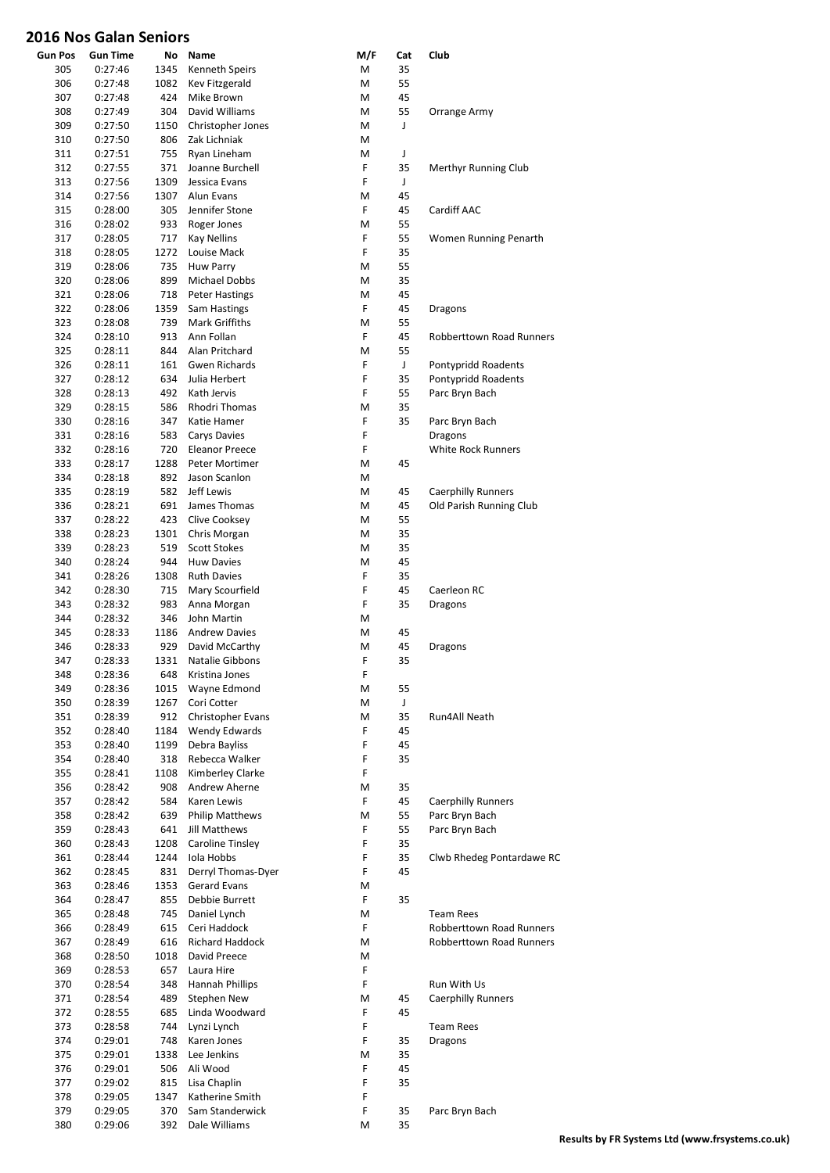| 305<br>0:27:46<br>1345<br>Kenneth Speirs<br>M<br>35<br>1082<br>M<br>55<br>306<br>0:27:48<br>Kev Fitzgerald<br>307<br>M<br>45<br>0:27:48<br>424<br>Mike Brown<br>308<br>304<br>David Williams<br>55<br>0:27:49<br>M<br>Orrange Army<br>J<br>309<br>0:27:50<br>1150<br>Christopher Jones<br>M<br>806<br>310<br>0:27:50<br>Zak Lichniak<br>M<br>755<br>J<br>311<br>0:27:51<br>Ryan Lineham<br>M<br>F<br>312<br>371<br>35<br>0:27:55<br>Joanne Burchell<br>Merthyr Running Club<br>1309<br>F<br>J<br>313<br>0:27:56<br>Jessica Evans<br>1307<br>M<br>45<br>314<br>0:27:56<br>Alun Evans<br>F<br>305<br>45<br>315<br>0:28:00<br>Jennifer Stone<br>Cardiff AAC<br>933<br>55<br>316<br>0:28:02<br>Roger Jones<br>M<br>F<br>55<br>317<br>0:28:05<br>717<br><b>Kay Nellins</b><br>Women Running Penarth<br>F<br>35<br>1272<br>Louise Mack<br>318<br>0:28:05<br>735<br>M<br>55<br>319<br>0:28:06<br><b>Huw Parry</b><br>899<br>Michael Dobbs<br>35<br>320<br>0:28:06<br>M<br>45<br>321<br>0:28:06<br>718<br><b>Peter Hastings</b><br>M<br>F<br>322<br>1359<br>45<br>0:28:06<br>Sam Hastings<br>Dragons<br>323<br>739<br>Mark Griffiths<br>M<br>55<br>0:28:08<br>F<br>913<br>Ann Follan<br>45<br><b>Robberttown Road Runners</b><br>324<br>0:28:10<br>M<br>55<br>325<br>0:28:11<br>844<br>Alan Pritchard<br><b>Gwen Richards</b><br>F<br>J<br>326<br>0:28:11<br>161<br>Pontypridd Roadents<br>F<br>634<br>35<br>327<br>0:28:12<br>Julia Herbert<br>Pontypridd Roadents<br>F<br>492<br>55<br>328<br>0:28:13<br>Kath Jervis<br>Parc Bryn Bach<br>35<br>329<br>0:28:15<br>586<br>Rhodri Thomas<br>M<br>F<br>330<br>347<br>35<br>0:28:16<br>Katie Hamer<br>Parc Bryn Bach<br>F<br>583<br>331<br>0:28:16<br>Carys Davies<br>Dragons<br>F<br><b>White Rock Runners</b><br>332<br>0:28:16<br>720<br><b>Eleanor Preece</b><br>1288<br>M<br>45<br>333<br>0:28:17<br>Peter Mortimer<br>334<br>892<br>0:28:18<br>Jason Scanlon<br>M<br>582<br>Jeff Lewis<br>M<br>45<br>335<br>0:28:19<br><b>Caerphilly Runners</b><br>45<br>Old Parish Running Club<br>336<br>0:28:21<br>691<br>James Thomas<br>M<br>0:28:22<br>423<br>M<br>55<br>337<br>Clive Cooksey<br>338<br>0:28:23<br>1301<br>M<br>35<br>Chris Morgan<br>35<br>339<br>0:28:23<br>519<br><b>Scott Stokes</b><br>M<br>45<br>340<br>0:28:24<br>944<br><b>Huw Davies</b><br>M<br>F<br>1308<br>35<br>341<br>0:28:26<br><b>Ruth Davies</b><br>F<br>45<br>342<br>0:28:30<br>715<br>Mary Scourfield<br>Caerleon RC<br>F<br>35<br>343<br>0:28:32<br>983<br>Anna Morgan<br>Dragons<br>344<br>0:28:32<br>346<br>John Martin<br>M<br>1186<br>45<br>345<br>0:28:33<br><b>Andrew Davies</b><br>M<br>45<br>346<br>0:28:33<br>929<br>David McCarthy<br>M<br><b>Dragons</b><br>F<br>Natalie Gibbons<br>35<br>347<br>0:28:33<br>1331<br>348<br>0:28:36<br>F<br>Kristina Jones<br>648<br>349<br>0:28:36<br>1015<br>Wayne Edmond<br>M<br>55<br>350<br>1267<br>Cori Cotter<br>M<br>J<br>0:28:39<br>351<br>912<br>M<br>35<br>0:28:39<br>Christopher Evans<br>Run4All Neath<br>F<br>352<br>1184<br>Wendy Edwards<br>45<br>0:28:40<br>F<br>353<br>0:28:40<br>1199<br>Debra Bayliss<br>45<br>F<br>354<br>0:28:40<br>318<br>Rebecca Walker<br>35<br>F<br>355<br>1108<br>Kimberley Clarke<br>0:28:41<br>356<br>0:28:42<br>908<br>Andrew Aherne<br>35<br>M<br>F<br>357<br>584<br>Karen Lewis<br>45<br>0:28:42<br><b>Caerphilly Runners</b><br>M<br>55<br>Parc Bryn Bach<br>358<br>0:28:42<br>639<br><b>Philip Matthews</b><br>F<br>359<br>0:28:43<br>641<br>Jill Matthews<br>55<br>Parc Bryn Bach<br>360<br>0:28:43<br>1208<br>Caroline Tinsley<br>F<br>35<br>1244<br>Iola Hobbs<br>F<br>35<br>Clwb Rhedeg Pontardawe RC<br>361<br>0:28:44<br>F<br>362<br>Derryl Thomas-Dyer<br>45<br>0:28:45<br>831<br>1353<br>Gerard Evans<br>363<br>0:28:46<br>M<br>F<br>0:28:47<br>855<br>Debbie Burrett<br>35<br>364<br>365<br>0:28:48<br>745<br>Daniel Lynch<br>M<br><b>Team Rees</b><br>F<br>615<br>Ceri Haddock<br>Robberttown Road Runners<br>366<br>0:28:49<br>367<br>0:28:49<br>616<br><b>Richard Haddock</b><br><b>Robberttown Road Runners</b><br>м<br>368<br>0:28:50<br>1018<br>David Preece<br>M<br>F<br>657<br>369<br>0:28:53<br>Laura Hire<br>F<br>Run With Us<br>370<br>0:28:54<br>348<br>Hannah Phillips<br>371<br>489<br>Stephen New<br>M<br>45<br><b>Caerphilly Runners</b><br>0:28:54<br>F<br>45<br>372<br>0:28:55<br>685<br>Linda Woodward<br>F<br>373<br>0:28:58<br>744<br>Lynzi Lynch<br><b>Team Rees</b><br>F<br>Karen Jones<br>374<br>0:29:01<br>748<br>35<br><b>Dragons</b><br>1338<br>Lee Jenkins<br>M<br>35<br>375<br>0:29:01<br>F<br>506<br>Ali Wood<br>45<br>376<br>0:29:01<br>F<br>Lisa Chaplin<br>35<br>377<br>0:29:02<br>815<br>F<br>1347<br>Katherine Smith<br>378<br>0:29:05<br>F<br>379<br>0:29:05<br>370<br>Sam Standerwick<br>35<br>Parc Bryn Bach<br>380<br>0:29:06<br>Dale Williams<br>M<br>35<br>392 | <b>Gun Pos</b> | <b>Gun Time</b> | No | Name | M/F | Cat | Club |
|-------------------------------------------------------------------------------------------------------------------------------------------------------------------------------------------------------------------------------------------------------------------------------------------------------------------------------------------------------------------------------------------------------------------------------------------------------------------------------------------------------------------------------------------------------------------------------------------------------------------------------------------------------------------------------------------------------------------------------------------------------------------------------------------------------------------------------------------------------------------------------------------------------------------------------------------------------------------------------------------------------------------------------------------------------------------------------------------------------------------------------------------------------------------------------------------------------------------------------------------------------------------------------------------------------------------------------------------------------------------------------------------------------------------------------------------------------------------------------------------------------------------------------------------------------------------------------------------------------------------------------------------------------------------------------------------------------------------------------------------------------------------------------------------------------------------------------------------------------------------------------------------------------------------------------------------------------------------------------------------------------------------------------------------------------------------------------------------------------------------------------------------------------------------------------------------------------------------------------------------------------------------------------------------------------------------------------------------------------------------------------------------------------------------------------------------------------------------------------------------------------------------------------------------------------------------------------------------------------------------------------------------------------------------------------------------------------------------------------------------------------------------------------------------------------------------------------------------------------------------------------------------------------------------------------------------------------------------------------------------------------------------------------------------------------------------------------------------------------------------------------------------------------------------------------------------------------------------------------------------------------------------------------------------------------------------------------------------------------------------------------------------------------------------------------------------------------------------------------------------------------------------------------------------------------------------------------------------------------------------------------------------------------------------------------------------------------------------------------------------------------------------------------------------------------------------------------------------------------------------------------------------------------------------------------------------------------------------------------------------------------------------------------------------------------------------------------------------------------------------------------------------------------------------------------------------------------------------------------------------------------------------------------------------------------------------------------------------------------------------------------------------------------------------------------------------------------------------------------------------------------------------------------------------------------------------------------------------------------------------------------------------------------------------------------------------------------------------------------------------------------------------------------------------------------------------------------------|----------------|-----------------|----|------|-----|-----|------|
|                                                                                                                                                                                                                                                                                                                                                                                                                                                                                                                                                                                                                                                                                                                                                                                                                                                                                                                                                                                                                                                                                                                                                                                                                                                                                                                                                                                                                                                                                                                                                                                                                                                                                                                                                                                                                                                                                                                                                                                                                                                                                                                                                                                                                                                                                                                                                                                                                                                                                                                                                                                                                                                                                                                                                                                                                                                                                                                                                                                                                                                                                                                                                                                                                                                                                                                                                                                                                                                                                                                                                                                                                                                                                                                                                                                                                                                                                                                                                                                                                                                                                                                                                                                                                                                                                                                                                                                                                                                                                                                                                                                                                                                                                                                                                                                                                                     |                |                 |    |      |     |     |      |
|                                                                                                                                                                                                                                                                                                                                                                                                                                                                                                                                                                                                                                                                                                                                                                                                                                                                                                                                                                                                                                                                                                                                                                                                                                                                                                                                                                                                                                                                                                                                                                                                                                                                                                                                                                                                                                                                                                                                                                                                                                                                                                                                                                                                                                                                                                                                                                                                                                                                                                                                                                                                                                                                                                                                                                                                                                                                                                                                                                                                                                                                                                                                                                                                                                                                                                                                                                                                                                                                                                                                                                                                                                                                                                                                                                                                                                                                                                                                                                                                                                                                                                                                                                                                                                                                                                                                                                                                                                                                                                                                                                                                                                                                                                                                                                                                                                     |                |                 |    |      |     |     |      |
|                                                                                                                                                                                                                                                                                                                                                                                                                                                                                                                                                                                                                                                                                                                                                                                                                                                                                                                                                                                                                                                                                                                                                                                                                                                                                                                                                                                                                                                                                                                                                                                                                                                                                                                                                                                                                                                                                                                                                                                                                                                                                                                                                                                                                                                                                                                                                                                                                                                                                                                                                                                                                                                                                                                                                                                                                                                                                                                                                                                                                                                                                                                                                                                                                                                                                                                                                                                                                                                                                                                                                                                                                                                                                                                                                                                                                                                                                                                                                                                                                                                                                                                                                                                                                                                                                                                                                                                                                                                                                                                                                                                                                                                                                                                                                                                                                                     |                |                 |    |      |     |     |      |
|                                                                                                                                                                                                                                                                                                                                                                                                                                                                                                                                                                                                                                                                                                                                                                                                                                                                                                                                                                                                                                                                                                                                                                                                                                                                                                                                                                                                                                                                                                                                                                                                                                                                                                                                                                                                                                                                                                                                                                                                                                                                                                                                                                                                                                                                                                                                                                                                                                                                                                                                                                                                                                                                                                                                                                                                                                                                                                                                                                                                                                                                                                                                                                                                                                                                                                                                                                                                                                                                                                                                                                                                                                                                                                                                                                                                                                                                                                                                                                                                                                                                                                                                                                                                                                                                                                                                                                                                                                                                                                                                                                                                                                                                                                                                                                                                                                     |                |                 |    |      |     |     |      |
|                                                                                                                                                                                                                                                                                                                                                                                                                                                                                                                                                                                                                                                                                                                                                                                                                                                                                                                                                                                                                                                                                                                                                                                                                                                                                                                                                                                                                                                                                                                                                                                                                                                                                                                                                                                                                                                                                                                                                                                                                                                                                                                                                                                                                                                                                                                                                                                                                                                                                                                                                                                                                                                                                                                                                                                                                                                                                                                                                                                                                                                                                                                                                                                                                                                                                                                                                                                                                                                                                                                                                                                                                                                                                                                                                                                                                                                                                                                                                                                                                                                                                                                                                                                                                                                                                                                                                                                                                                                                                                                                                                                                                                                                                                                                                                                                                                     |                |                 |    |      |     |     |      |
|                                                                                                                                                                                                                                                                                                                                                                                                                                                                                                                                                                                                                                                                                                                                                                                                                                                                                                                                                                                                                                                                                                                                                                                                                                                                                                                                                                                                                                                                                                                                                                                                                                                                                                                                                                                                                                                                                                                                                                                                                                                                                                                                                                                                                                                                                                                                                                                                                                                                                                                                                                                                                                                                                                                                                                                                                                                                                                                                                                                                                                                                                                                                                                                                                                                                                                                                                                                                                                                                                                                                                                                                                                                                                                                                                                                                                                                                                                                                                                                                                                                                                                                                                                                                                                                                                                                                                                                                                                                                                                                                                                                                                                                                                                                                                                                                                                     |                |                 |    |      |     |     |      |
|                                                                                                                                                                                                                                                                                                                                                                                                                                                                                                                                                                                                                                                                                                                                                                                                                                                                                                                                                                                                                                                                                                                                                                                                                                                                                                                                                                                                                                                                                                                                                                                                                                                                                                                                                                                                                                                                                                                                                                                                                                                                                                                                                                                                                                                                                                                                                                                                                                                                                                                                                                                                                                                                                                                                                                                                                                                                                                                                                                                                                                                                                                                                                                                                                                                                                                                                                                                                                                                                                                                                                                                                                                                                                                                                                                                                                                                                                                                                                                                                                                                                                                                                                                                                                                                                                                                                                                                                                                                                                                                                                                                                                                                                                                                                                                                                                                     |                |                 |    |      |     |     |      |
|                                                                                                                                                                                                                                                                                                                                                                                                                                                                                                                                                                                                                                                                                                                                                                                                                                                                                                                                                                                                                                                                                                                                                                                                                                                                                                                                                                                                                                                                                                                                                                                                                                                                                                                                                                                                                                                                                                                                                                                                                                                                                                                                                                                                                                                                                                                                                                                                                                                                                                                                                                                                                                                                                                                                                                                                                                                                                                                                                                                                                                                                                                                                                                                                                                                                                                                                                                                                                                                                                                                                                                                                                                                                                                                                                                                                                                                                                                                                                                                                                                                                                                                                                                                                                                                                                                                                                                                                                                                                                                                                                                                                                                                                                                                                                                                                                                     |                |                 |    |      |     |     |      |
|                                                                                                                                                                                                                                                                                                                                                                                                                                                                                                                                                                                                                                                                                                                                                                                                                                                                                                                                                                                                                                                                                                                                                                                                                                                                                                                                                                                                                                                                                                                                                                                                                                                                                                                                                                                                                                                                                                                                                                                                                                                                                                                                                                                                                                                                                                                                                                                                                                                                                                                                                                                                                                                                                                                                                                                                                                                                                                                                                                                                                                                                                                                                                                                                                                                                                                                                                                                                                                                                                                                                                                                                                                                                                                                                                                                                                                                                                                                                                                                                                                                                                                                                                                                                                                                                                                                                                                                                                                                                                                                                                                                                                                                                                                                                                                                                                                     |                |                 |    |      |     |     |      |
|                                                                                                                                                                                                                                                                                                                                                                                                                                                                                                                                                                                                                                                                                                                                                                                                                                                                                                                                                                                                                                                                                                                                                                                                                                                                                                                                                                                                                                                                                                                                                                                                                                                                                                                                                                                                                                                                                                                                                                                                                                                                                                                                                                                                                                                                                                                                                                                                                                                                                                                                                                                                                                                                                                                                                                                                                                                                                                                                                                                                                                                                                                                                                                                                                                                                                                                                                                                                                                                                                                                                                                                                                                                                                                                                                                                                                                                                                                                                                                                                                                                                                                                                                                                                                                                                                                                                                                                                                                                                                                                                                                                                                                                                                                                                                                                                                                     |                |                 |    |      |     |     |      |
|                                                                                                                                                                                                                                                                                                                                                                                                                                                                                                                                                                                                                                                                                                                                                                                                                                                                                                                                                                                                                                                                                                                                                                                                                                                                                                                                                                                                                                                                                                                                                                                                                                                                                                                                                                                                                                                                                                                                                                                                                                                                                                                                                                                                                                                                                                                                                                                                                                                                                                                                                                                                                                                                                                                                                                                                                                                                                                                                                                                                                                                                                                                                                                                                                                                                                                                                                                                                                                                                                                                                                                                                                                                                                                                                                                                                                                                                                                                                                                                                                                                                                                                                                                                                                                                                                                                                                                                                                                                                                                                                                                                                                                                                                                                                                                                                                                     |                |                 |    |      |     |     |      |
|                                                                                                                                                                                                                                                                                                                                                                                                                                                                                                                                                                                                                                                                                                                                                                                                                                                                                                                                                                                                                                                                                                                                                                                                                                                                                                                                                                                                                                                                                                                                                                                                                                                                                                                                                                                                                                                                                                                                                                                                                                                                                                                                                                                                                                                                                                                                                                                                                                                                                                                                                                                                                                                                                                                                                                                                                                                                                                                                                                                                                                                                                                                                                                                                                                                                                                                                                                                                                                                                                                                                                                                                                                                                                                                                                                                                                                                                                                                                                                                                                                                                                                                                                                                                                                                                                                                                                                                                                                                                                                                                                                                                                                                                                                                                                                                                                                     |                |                 |    |      |     |     |      |
|                                                                                                                                                                                                                                                                                                                                                                                                                                                                                                                                                                                                                                                                                                                                                                                                                                                                                                                                                                                                                                                                                                                                                                                                                                                                                                                                                                                                                                                                                                                                                                                                                                                                                                                                                                                                                                                                                                                                                                                                                                                                                                                                                                                                                                                                                                                                                                                                                                                                                                                                                                                                                                                                                                                                                                                                                                                                                                                                                                                                                                                                                                                                                                                                                                                                                                                                                                                                                                                                                                                                                                                                                                                                                                                                                                                                                                                                                                                                                                                                                                                                                                                                                                                                                                                                                                                                                                                                                                                                                                                                                                                                                                                                                                                                                                                                                                     |                |                 |    |      |     |     |      |
|                                                                                                                                                                                                                                                                                                                                                                                                                                                                                                                                                                                                                                                                                                                                                                                                                                                                                                                                                                                                                                                                                                                                                                                                                                                                                                                                                                                                                                                                                                                                                                                                                                                                                                                                                                                                                                                                                                                                                                                                                                                                                                                                                                                                                                                                                                                                                                                                                                                                                                                                                                                                                                                                                                                                                                                                                                                                                                                                                                                                                                                                                                                                                                                                                                                                                                                                                                                                                                                                                                                                                                                                                                                                                                                                                                                                                                                                                                                                                                                                                                                                                                                                                                                                                                                                                                                                                                                                                                                                                                                                                                                                                                                                                                                                                                                                                                     |                |                 |    |      |     |     |      |
|                                                                                                                                                                                                                                                                                                                                                                                                                                                                                                                                                                                                                                                                                                                                                                                                                                                                                                                                                                                                                                                                                                                                                                                                                                                                                                                                                                                                                                                                                                                                                                                                                                                                                                                                                                                                                                                                                                                                                                                                                                                                                                                                                                                                                                                                                                                                                                                                                                                                                                                                                                                                                                                                                                                                                                                                                                                                                                                                                                                                                                                                                                                                                                                                                                                                                                                                                                                                                                                                                                                                                                                                                                                                                                                                                                                                                                                                                                                                                                                                                                                                                                                                                                                                                                                                                                                                                                                                                                                                                                                                                                                                                                                                                                                                                                                                                                     |                |                 |    |      |     |     |      |
|                                                                                                                                                                                                                                                                                                                                                                                                                                                                                                                                                                                                                                                                                                                                                                                                                                                                                                                                                                                                                                                                                                                                                                                                                                                                                                                                                                                                                                                                                                                                                                                                                                                                                                                                                                                                                                                                                                                                                                                                                                                                                                                                                                                                                                                                                                                                                                                                                                                                                                                                                                                                                                                                                                                                                                                                                                                                                                                                                                                                                                                                                                                                                                                                                                                                                                                                                                                                                                                                                                                                                                                                                                                                                                                                                                                                                                                                                                                                                                                                                                                                                                                                                                                                                                                                                                                                                                                                                                                                                                                                                                                                                                                                                                                                                                                                                                     |                |                 |    |      |     |     |      |
|                                                                                                                                                                                                                                                                                                                                                                                                                                                                                                                                                                                                                                                                                                                                                                                                                                                                                                                                                                                                                                                                                                                                                                                                                                                                                                                                                                                                                                                                                                                                                                                                                                                                                                                                                                                                                                                                                                                                                                                                                                                                                                                                                                                                                                                                                                                                                                                                                                                                                                                                                                                                                                                                                                                                                                                                                                                                                                                                                                                                                                                                                                                                                                                                                                                                                                                                                                                                                                                                                                                                                                                                                                                                                                                                                                                                                                                                                                                                                                                                                                                                                                                                                                                                                                                                                                                                                                                                                                                                                                                                                                                                                                                                                                                                                                                                                                     |                |                 |    |      |     |     |      |
|                                                                                                                                                                                                                                                                                                                                                                                                                                                                                                                                                                                                                                                                                                                                                                                                                                                                                                                                                                                                                                                                                                                                                                                                                                                                                                                                                                                                                                                                                                                                                                                                                                                                                                                                                                                                                                                                                                                                                                                                                                                                                                                                                                                                                                                                                                                                                                                                                                                                                                                                                                                                                                                                                                                                                                                                                                                                                                                                                                                                                                                                                                                                                                                                                                                                                                                                                                                                                                                                                                                                                                                                                                                                                                                                                                                                                                                                                                                                                                                                                                                                                                                                                                                                                                                                                                                                                                                                                                                                                                                                                                                                                                                                                                                                                                                                                                     |                |                 |    |      |     |     |      |
|                                                                                                                                                                                                                                                                                                                                                                                                                                                                                                                                                                                                                                                                                                                                                                                                                                                                                                                                                                                                                                                                                                                                                                                                                                                                                                                                                                                                                                                                                                                                                                                                                                                                                                                                                                                                                                                                                                                                                                                                                                                                                                                                                                                                                                                                                                                                                                                                                                                                                                                                                                                                                                                                                                                                                                                                                                                                                                                                                                                                                                                                                                                                                                                                                                                                                                                                                                                                                                                                                                                                                                                                                                                                                                                                                                                                                                                                                                                                                                                                                                                                                                                                                                                                                                                                                                                                                                                                                                                                                                                                                                                                                                                                                                                                                                                                                                     |                |                 |    |      |     |     |      |
|                                                                                                                                                                                                                                                                                                                                                                                                                                                                                                                                                                                                                                                                                                                                                                                                                                                                                                                                                                                                                                                                                                                                                                                                                                                                                                                                                                                                                                                                                                                                                                                                                                                                                                                                                                                                                                                                                                                                                                                                                                                                                                                                                                                                                                                                                                                                                                                                                                                                                                                                                                                                                                                                                                                                                                                                                                                                                                                                                                                                                                                                                                                                                                                                                                                                                                                                                                                                                                                                                                                                                                                                                                                                                                                                                                                                                                                                                                                                                                                                                                                                                                                                                                                                                                                                                                                                                                                                                                                                                                                                                                                                                                                                                                                                                                                                                                     |                |                 |    |      |     |     |      |
|                                                                                                                                                                                                                                                                                                                                                                                                                                                                                                                                                                                                                                                                                                                                                                                                                                                                                                                                                                                                                                                                                                                                                                                                                                                                                                                                                                                                                                                                                                                                                                                                                                                                                                                                                                                                                                                                                                                                                                                                                                                                                                                                                                                                                                                                                                                                                                                                                                                                                                                                                                                                                                                                                                                                                                                                                                                                                                                                                                                                                                                                                                                                                                                                                                                                                                                                                                                                                                                                                                                                                                                                                                                                                                                                                                                                                                                                                                                                                                                                                                                                                                                                                                                                                                                                                                                                                                                                                                                                                                                                                                                                                                                                                                                                                                                                                                     |                |                 |    |      |     |     |      |
|                                                                                                                                                                                                                                                                                                                                                                                                                                                                                                                                                                                                                                                                                                                                                                                                                                                                                                                                                                                                                                                                                                                                                                                                                                                                                                                                                                                                                                                                                                                                                                                                                                                                                                                                                                                                                                                                                                                                                                                                                                                                                                                                                                                                                                                                                                                                                                                                                                                                                                                                                                                                                                                                                                                                                                                                                                                                                                                                                                                                                                                                                                                                                                                                                                                                                                                                                                                                                                                                                                                                                                                                                                                                                                                                                                                                                                                                                                                                                                                                                                                                                                                                                                                                                                                                                                                                                                                                                                                                                                                                                                                                                                                                                                                                                                                                                                     |                |                 |    |      |     |     |      |
|                                                                                                                                                                                                                                                                                                                                                                                                                                                                                                                                                                                                                                                                                                                                                                                                                                                                                                                                                                                                                                                                                                                                                                                                                                                                                                                                                                                                                                                                                                                                                                                                                                                                                                                                                                                                                                                                                                                                                                                                                                                                                                                                                                                                                                                                                                                                                                                                                                                                                                                                                                                                                                                                                                                                                                                                                                                                                                                                                                                                                                                                                                                                                                                                                                                                                                                                                                                                                                                                                                                                                                                                                                                                                                                                                                                                                                                                                                                                                                                                                                                                                                                                                                                                                                                                                                                                                                                                                                                                                                                                                                                                                                                                                                                                                                                                                                     |                |                 |    |      |     |     |      |
|                                                                                                                                                                                                                                                                                                                                                                                                                                                                                                                                                                                                                                                                                                                                                                                                                                                                                                                                                                                                                                                                                                                                                                                                                                                                                                                                                                                                                                                                                                                                                                                                                                                                                                                                                                                                                                                                                                                                                                                                                                                                                                                                                                                                                                                                                                                                                                                                                                                                                                                                                                                                                                                                                                                                                                                                                                                                                                                                                                                                                                                                                                                                                                                                                                                                                                                                                                                                                                                                                                                                                                                                                                                                                                                                                                                                                                                                                                                                                                                                                                                                                                                                                                                                                                                                                                                                                                                                                                                                                                                                                                                                                                                                                                                                                                                                                                     |                |                 |    |      |     |     |      |
|                                                                                                                                                                                                                                                                                                                                                                                                                                                                                                                                                                                                                                                                                                                                                                                                                                                                                                                                                                                                                                                                                                                                                                                                                                                                                                                                                                                                                                                                                                                                                                                                                                                                                                                                                                                                                                                                                                                                                                                                                                                                                                                                                                                                                                                                                                                                                                                                                                                                                                                                                                                                                                                                                                                                                                                                                                                                                                                                                                                                                                                                                                                                                                                                                                                                                                                                                                                                                                                                                                                                                                                                                                                                                                                                                                                                                                                                                                                                                                                                                                                                                                                                                                                                                                                                                                                                                                                                                                                                                                                                                                                                                                                                                                                                                                                                                                     |                |                 |    |      |     |     |      |
|                                                                                                                                                                                                                                                                                                                                                                                                                                                                                                                                                                                                                                                                                                                                                                                                                                                                                                                                                                                                                                                                                                                                                                                                                                                                                                                                                                                                                                                                                                                                                                                                                                                                                                                                                                                                                                                                                                                                                                                                                                                                                                                                                                                                                                                                                                                                                                                                                                                                                                                                                                                                                                                                                                                                                                                                                                                                                                                                                                                                                                                                                                                                                                                                                                                                                                                                                                                                                                                                                                                                                                                                                                                                                                                                                                                                                                                                                                                                                                                                                                                                                                                                                                                                                                                                                                                                                                                                                                                                                                                                                                                                                                                                                                                                                                                                                                     |                |                 |    |      |     |     |      |
|                                                                                                                                                                                                                                                                                                                                                                                                                                                                                                                                                                                                                                                                                                                                                                                                                                                                                                                                                                                                                                                                                                                                                                                                                                                                                                                                                                                                                                                                                                                                                                                                                                                                                                                                                                                                                                                                                                                                                                                                                                                                                                                                                                                                                                                                                                                                                                                                                                                                                                                                                                                                                                                                                                                                                                                                                                                                                                                                                                                                                                                                                                                                                                                                                                                                                                                                                                                                                                                                                                                                                                                                                                                                                                                                                                                                                                                                                                                                                                                                                                                                                                                                                                                                                                                                                                                                                                                                                                                                                                                                                                                                                                                                                                                                                                                                                                     |                |                 |    |      |     |     |      |
|                                                                                                                                                                                                                                                                                                                                                                                                                                                                                                                                                                                                                                                                                                                                                                                                                                                                                                                                                                                                                                                                                                                                                                                                                                                                                                                                                                                                                                                                                                                                                                                                                                                                                                                                                                                                                                                                                                                                                                                                                                                                                                                                                                                                                                                                                                                                                                                                                                                                                                                                                                                                                                                                                                                                                                                                                                                                                                                                                                                                                                                                                                                                                                                                                                                                                                                                                                                                                                                                                                                                                                                                                                                                                                                                                                                                                                                                                                                                                                                                                                                                                                                                                                                                                                                                                                                                                                                                                                                                                                                                                                                                                                                                                                                                                                                                                                     |                |                 |    |      |     |     |      |
|                                                                                                                                                                                                                                                                                                                                                                                                                                                                                                                                                                                                                                                                                                                                                                                                                                                                                                                                                                                                                                                                                                                                                                                                                                                                                                                                                                                                                                                                                                                                                                                                                                                                                                                                                                                                                                                                                                                                                                                                                                                                                                                                                                                                                                                                                                                                                                                                                                                                                                                                                                                                                                                                                                                                                                                                                                                                                                                                                                                                                                                                                                                                                                                                                                                                                                                                                                                                                                                                                                                                                                                                                                                                                                                                                                                                                                                                                                                                                                                                                                                                                                                                                                                                                                                                                                                                                                                                                                                                                                                                                                                                                                                                                                                                                                                                                                     |                |                 |    |      |     |     |      |
|                                                                                                                                                                                                                                                                                                                                                                                                                                                                                                                                                                                                                                                                                                                                                                                                                                                                                                                                                                                                                                                                                                                                                                                                                                                                                                                                                                                                                                                                                                                                                                                                                                                                                                                                                                                                                                                                                                                                                                                                                                                                                                                                                                                                                                                                                                                                                                                                                                                                                                                                                                                                                                                                                                                                                                                                                                                                                                                                                                                                                                                                                                                                                                                                                                                                                                                                                                                                                                                                                                                                                                                                                                                                                                                                                                                                                                                                                                                                                                                                                                                                                                                                                                                                                                                                                                                                                                                                                                                                                                                                                                                                                                                                                                                                                                                                                                     |                |                 |    |      |     |     |      |
|                                                                                                                                                                                                                                                                                                                                                                                                                                                                                                                                                                                                                                                                                                                                                                                                                                                                                                                                                                                                                                                                                                                                                                                                                                                                                                                                                                                                                                                                                                                                                                                                                                                                                                                                                                                                                                                                                                                                                                                                                                                                                                                                                                                                                                                                                                                                                                                                                                                                                                                                                                                                                                                                                                                                                                                                                                                                                                                                                                                                                                                                                                                                                                                                                                                                                                                                                                                                                                                                                                                                                                                                                                                                                                                                                                                                                                                                                                                                                                                                                                                                                                                                                                                                                                                                                                                                                                                                                                                                                                                                                                                                                                                                                                                                                                                                                                     |                |                 |    |      |     |     |      |
|                                                                                                                                                                                                                                                                                                                                                                                                                                                                                                                                                                                                                                                                                                                                                                                                                                                                                                                                                                                                                                                                                                                                                                                                                                                                                                                                                                                                                                                                                                                                                                                                                                                                                                                                                                                                                                                                                                                                                                                                                                                                                                                                                                                                                                                                                                                                                                                                                                                                                                                                                                                                                                                                                                                                                                                                                                                                                                                                                                                                                                                                                                                                                                                                                                                                                                                                                                                                                                                                                                                                                                                                                                                                                                                                                                                                                                                                                                                                                                                                                                                                                                                                                                                                                                                                                                                                                                                                                                                                                                                                                                                                                                                                                                                                                                                                                                     |                |                 |    |      |     |     |      |
|                                                                                                                                                                                                                                                                                                                                                                                                                                                                                                                                                                                                                                                                                                                                                                                                                                                                                                                                                                                                                                                                                                                                                                                                                                                                                                                                                                                                                                                                                                                                                                                                                                                                                                                                                                                                                                                                                                                                                                                                                                                                                                                                                                                                                                                                                                                                                                                                                                                                                                                                                                                                                                                                                                                                                                                                                                                                                                                                                                                                                                                                                                                                                                                                                                                                                                                                                                                                                                                                                                                                                                                                                                                                                                                                                                                                                                                                                                                                                                                                                                                                                                                                                                                                                                                                                                                                                                                                                                                                                                                                                                                                                                                                                                                                                                                                                                     |                |                 |    |      |     |     |      |
|                                                                                                                                                                                                                                                                                                                                                                                                                                                                                                                                                                                                                                                                                                                                                                                                                                                                                                                                                                                                                                                                                                                                                                                                                                                                                                                                                                                                                                                                                                                                                                                                                                                                                                                                                                                                                                                                                                                                                                                                                                                                                                                                                                                                                                                                                                                                                                                                                                                                                                                                                                                                                                                                                                                                                                                                                                                                                                                                                                                                                                                                                                                                                                                                                                                                                                                                                                                                                                                                                                                                                                                                                                                                                                                                                                                                                                                                                                                                                                                                                                                                                                                                                                                                                                                                                                                                                                                                                                                                                                                                                                                                                                                                                                                                                                                                                                     |                |                 |    |      |     |     |      |
|                                                                                                                                                                                                                                                                                                                                                                                                                                                                                                                                                                                                                                                                                                                                                                                                                                                                                                                                                                                                                                                                                                                                                                                                                                                                                                                                                                                                                                                                                                                                                                                                                                                                                                                                                                                                                                                                                                                                                                                                                                                                                                                                                                                                                                                                                                                                                                                                                                                                                                                                                                                                                                                                                                                                                                                                                                                                                                                                                                                                                                                                                                                                                                                                                                                                                                                                                                                                                                                                                                                                                                                                                                                                                                                                                                                                                                                                                                                                                                                                                                                                                                                                                                                                                                                                                                                                                                                                                                                                                                                                                                                                                                                                                                                                                                                                                                     |                |                 |    |      |     |     |      |
|                                                                                                                                                                                                                                                                                                                                                                                                                                                                                                                                                                                                                                                                                                                                                                                                                                                                                                                                                                                                                                                                                                                                                                                                                                                                                                                                                                                                                                                                                                                                                                                                                                                                                                                                                                                                                                                                                                                                                                                                                                                                                                                                                                                                                                                                                                                                                                                                                                                                                                                                                                                                                                                                                                                                                                                                                                                                                                                                                                                                                                                                                                                                                                                                                                                                                                                                                                                                                                                                                                                                                                                                                                                                                                                                                                                                                                                                                                                                                                                                                                                                                                                                                                                                                                                                                                                                                                                                                                                                                                                                                                                                                                                                                                                                                                                                                                     |                |                 |    |      |     |     |      |
|                                                                                                                                                                                                                                                                                                                                                                                                                                                                                                                                                                                                                                                                                                                                                                                                                                                                                                                                                                                                                                                                                                                                                                                                                                                                                                                                                                                                                                                                                                                                                                                                                                                                                                                                                                                                                                                                                                                                                                                                                                                                                                                                                                                                                                                                                                                                                                                                                                                                                                                                                                                                                                                                                                                                                                                                                                                                                                                                                                                                                                                                                                                                                                                                                                                                                                                                                                                                                                                                                                                                                                                                                                                                                                                                                                                                                                                                                                                                                                                                                                                                                                                                                                                                                                                                                                                                                                                                                                                                                                                                                                                                                                                                                                                                                                                                                                     |                |                 |    |      |     |     |      |
|                                                                                                                                                                                                                                                                                                                                                                                                                                                                                                                                                                                                                                                                                                                                                                                                                                                                                                                                                                                                                                                                                                                                                                                                                                                                                                                                                                                                                                                                                                                                                                                                                                                                                                                                                                                                                                                                                                                                                                                                                                                                                                                                                                                                                                                                                                                                                                                                                                                                                                                                                                                                                                                                                                                                                                                                                                                                                                                                                                                                                                                                                                                                                                                                                                                                                                                                                                                                                                                                                                                                                                                                                                                                                                                                                                                                                                                                                                                                                                                                                                                                                                                                                                                                                                                                                                                                                                                                                                                                                                                                                                                                                                                                                                                                                                                                                                     |                |                 |    |      |     |     |      |
|                                                                                                                                                                                                                                                                                                                                                                                                                                                                                                                                                                                                                                                                                                                                                                                                                                                                                                                                                                                                                                                                                                                                                                                                                                                                                                                                                                                                                                                                                                                                                                                                                                                                                                                                                                                                                                                                                                                                                                                                                                                                                                                                                                                                                                                                                                                                                                                                                                                                                                                                                                                                                                                                                                                                                                                                                                                                                                                                                                                                                                                                                                                                                                                                                                                                                                                                                                                                                                                                                                                                                                                                                                                                                                                                                                                                                                                                                                                                                                                                                                                                                                                                                                                                                                                                                                                                                                                                                                                                                                                                                                                                                                                                                                                                                                                                                                     |                |                 |    |      |     |     |      |
|                                                                                                                                                                                                                                                                                                                                                                                                                                                                                                                                                                                                                                                                                                                                                                                                                                                                                                                                                                                                                                                                                                                                                                                                                                                                                                                                                                                                                                                                                                                                                                                                                                                                                                                                                                                                                                                                                                                                                                                                                                                                                                                                                                                                                                                                                                                                                                                                                                                                                                                                                                                                                                                                                                                                                                                                                                                                                                                                                                                                                                                                                                                                                                                                                                                                                                                                                                                                                                                                                                                                                                                                                                                                                                                                                                                                                                                                                                                                                                                                                                                                                                                                                                                                                                                                                                                                                                                                                                                                                                                                                                                                                                                                                                                                                                                                                                     |                |                 |    |      |     |     |      |
|                                                                                                                                                                                                                                                                                                                                                                                                                                                                                                                                                                                                                                                                                                                                                                                                                                                                                                                                                                                                                                                                                                                                                                                                                                                                                                                                                                                                                                                                                                                                                                                                                                                                                                                                                                                                                                                                                                                                                                                                                                                                                                                                                                                                                                                                                                                                                                                                                                                                                                                                                                                                                                                                                                                                                                                                                                                                                                                                                                                                                                                                                                                                                                                                                                                                                                                                                                                                                                                                                                                                                                                                                                                                                                                                                                                                                                                                                                                                                                                                                                                                                                                                                                                                                                                                                                                                                                                                                                                                                                                                                                                                                                                                                                                                                                                                                                     |                |                 |    |      |     |     |      |
|                                                                                                                                                                                                                                                                                                                                                                                                                                                                                                                                                                                                                                                                                                                                                                                                                                                                                                                                                                                                                                                                                                                                                                                                                                                                                                                                                                                                                                                                                                                                                                                                                                                                                                                                                                                                                                                                                                                                                                                                                                                                                                                                                                                                                                                                                                                                                                                                                                                                                                                                                                                                                                                                                                                                                                                                                                                                                                                                                                                                                                                                                                                                                                                                                                                                                                                                                                                                                                                                                                                                                                                                                                                                                                                                                                                                                                                                                                                                                                                                                                                                                                                                                                                                                                                                                                                                                                                                                                                                                                                                                                                                                                                                                                                                                                                                                                     |                |                 |    |      |     |     |      |
|                                                                                                                                                                                                                                                                                                                                                                                                                                                                                                                                                                                                                                                                                                                                                                                                                                                                                                                                                                                                                                                                                                                                                                                                                                                                                                                                                                                                                                                                                                                                                                                                                                                                                                                                                                                                                                                                                                                                                                                                                                                                                                                                                                                                                                                                                                                                                                                                                                                                                                                                                                                                                                                                                                                                                                                                                                                                                                                                                                                                                                                                                                                                                                                                                                                                                                                                                                                                                                                                                                                                                                                                                                                                                                                                                                                                                                                                                                                                                                                                                                                                                                                                                                                                                                                                                                                                                                                                                                                                                                                                                                                                                                                                                                                                                                                                                                     |                |                 |    |      |     |     |      |
|                                                                                                                                                                                                                                                                                                                                                                                                                                                                                                                                                                                                                                                                                                                                                                                                                                                                                                                                                                                                                                                                                                                                                                                                                                                                                                                                                                                                                                                                                                                                                                                                                                                                                                                                                                                                                                                                                                                                                                                                                                                                                                                                                                                                                                                                                                                                                                                                                                                                                                                                                                                                                                                                                                                                                                                                                                                                                                                                                                                                                                                                                                                                                                                                                                                                                                                                                                                                                                                                                                                                                                                                                                                                                                                                                                                                                                                                                                                                                                                                                                                                                                                                                                                                                                                                                                                                                                                                                                                                                                                                                                                                                                                                                                                                                                                                                                     |                |                 |    |      |     |     |      |
|                                                                                                                                                                                                                                                                                                                                                                                                                                                                                                                                                                                                                                                                                                                                                                                                                                                                                                                                                                                                                                                                                                                                                                                                                                                                                                                                                                                                                                                                                                                                                                                                                                                                                                                                                                                                                                                                                                                                                                                                                                                                                                                                                                                                                                                                                                                                                                                                                                                                                                                                                                                                                                                                                                                                                                                                                                                                                                                                                                                                                                                                                                                                                                                                                                                                                                                                                                                                                                                                                                                                                                                                                                                                                                                                                                                                                                                                                                                                                                                                                                                                                                                                                                                                                                                                                                                                                                                                                                                                                                                                                                                                                                                                                                                                                                                                                                     |                |                 |    |      |     |     |      |
|                                                                                                                                                                                                                                                                                                                                                                                                                                                                                                                                                                                                                                                                                                                                                                                                                                                                                                                                                                                                                                                                                                                                                                                                                                                                                                                                                                                                                                                                                                                                                                                                                                                                                                                                                                                                                                                                                                                                                                                                                                                                                                                                                                                                                                                                                                                                                                                                                                                                                                                                                                                                                                                                                                                                                                                                                                                                                                                                                                                                                                                                                                                                                                                                                                                                                                                                                                                                                                                                                                                                                                                                                                                                                                                                                                                                                                                                                                                                                                                                                                                                                                                                                                                                                                                                                                                                                                                                                                                                                                                                                                                                                                                                                                                                                                                                                                     |                |                 |    |      |     |     |      |
|                                                                                                                                                                                                                                                                                                                                                                                                                                                                                                                                                                                                                                                                                                                                                                                                                                                                                                                                                                                                                                                                                                                                                                                                                                                                                                                                                                                                                                                                                                                                                                                                                                                                                                                                                                                                                                                                                                                                                                                                                                                                                                                                                                                                                                                                                                                                                                                                                                                                                                                                                                                                                                                                                                                                                                                                                                                                                                                                                                                                                                                                                                                                                                                                                                                                                                                                                                                                                                                                                                                                                                                                                                                                                                                                                                                                                                                                                                                                                                                                                                                                                                                                                                                                                                                                                                                                                                                                                                                                                                                                                                                                                                                                                                                                                                                                                                     |                |                 |    |      |     |     |      |
|                                                                                                                                                                                                                                                                                                                                                                                                                                                                                                                                                                                                                                                                                                                                                                                                                                                                                                                                                                                                                                                                                                                                                                                                                                                                                                                                                                                                                                                                                                                                                                                                                                                                                                                                                                                                                                                                                                                                                                                                                                                                                                                                                                                                                                                                                                                                                                                                                                                                                                                                                                                                                                                                                                                                                                                                                                                                                                                                                                                                                                                                                                                                                                                                                                                                                                                                                                                                                                                                                                                                                                                                                                                                                                                                                                                                                                                                                                                                                                                                                                                                                                                                                                                                                                                                                                                                                                                                                                                                                                                                                                                                                                                                                                                                                                                                                                     |                |                 |    |      |     |     |      |
|                                                                                                                                                                                                                                                                                                                                                                                                                                                                                                                                                                                                                                                                                                                                                                                                                                                                                                                                                                                                                                                                                                                                                                                                                                                                                                                                                                                                                                                                                                                                                                                                                                                                                                                                                                                                                                                                                                                                                                                                                                                                                                                                                                                                                                                                                                                                                                                                                                                                                                                                                                                                                                                                                                                                                                                                                                                                                                                                                                                                                                                                                                                                                                                                                                                                                                                                                                                                                                                                                                                                                                                                                                                                                                                                                                                                                                                                                                                                                                                                                                                                                                                                                                                                                                                                                                                                                                                                                                                                                                                                                                                                                                                                                                                                                                                                                                     |                |                 |    |      |     |     |      |
|                                                                                                                                                                                                                                                                                                                                                                                                                                                                                                                                                                                                                                                                                                                                                                                                                                                                                                                                                                                                                                                                                                                                                                                                                                                                                                                                                                                                                                                                                                                                                                                                                                                                                                                                                                                                                                                                                                                                                                                                                                                                                                                                                                                                                                                                                                                                                                                                                                                                                                                                                                                                                                                                                                                                                                                                                                                                                                                                                                                                                                                                                                                                                                                                                                                                                                                                                                                                                                                                                                                                                                                                                                                                                                                                                                                                                                                                                                                                                                                                                                                                                                                                                                                                                                                                                                                                                                                                                                                                                                                                                                                                                                                                                                                                                                                                                                     |                |                 |    |      |     |     |      |
|                                                                                                                                                                                                                                                                                                                                                                                                                                                                                                                                                                                                                                                                                                                                                                                                                                                                                                                                                                                                                                                                                                                                                                                                                                                                                                                                                                                                                                                                                                                                                                                                                                                                                                                                                                                                                                                                                                                                                                                                                                                                                                                                                                                                                                                                                                                                                                                                                                                                                                                                                                                                                                                                                                                                                                                                                                                                                                                                                                                                                                                                                                                                                                                                                                                                                                                                                                                                                                                                                                                                                                                                                                                                                                                                                                                                                                                                                                                                                                                                                                                                                                                                                                                                                                                                                                                                                                                                                                                                                                                                                                                                                                                                                                                                                                                                                                     |                |                 |    |      |     |     |      |
|                                                                                                                                                                                                                                                                                                                                                                                                                                                                                                                                                                                                                                                                                                                                                                                                                                                                                                                                                                                                                                                                                                                                                                                                                                                                                                                                                                                                                                                                                                                                                                                                                                                                                                                                                                                                                                                                                                                                                                                                                                                                                                                                                                                                                                                                                                                                                                                                                                                                                                                                                                                                                                                                                                                                                                                                                                                                                                                                                                                                                                                                                                                                                                                                                                                                                                                                                                                                                                                                                                                                                                                                                                                                                                                                                                                                                                                                                                                                                                                                                                                                                                                                                                                                                                                                                                                                                                                                                                                                                                                                                                                                                                                                                                                                                                                                                                     |                |                 |    |      |     |     |      |
|                                                                                                                                                                                                                                                                                                                                                                                                                                                                                                                                                                                                                                                                                                                                                                                                                                                                                                                                                                                                                                                                                                                                                                                                                                                                                                                                                                                                                                                                                                                                                                                                                                                                                                                                                                                                                                                                                                                                                                                                                                                                                                                                                                                                                                                                                                                                                                                                                                                                                                                                                                                                                                                                                                                                                                                                                                                                                                                                                                                                                                                                                                                                                                                                                                                                                                                                                                                                                                                                                                                                                                                                                                                                                                                                                                                                                                                                                                                                                                                                                                                                                                                                                                                                                                                                                                                                                                                                                                                                                                                                                                                                                                                                                                                                                                                                                                     |                |                 |    |      |     |     |      |
|                                                                                                                                                                                                                                                                                                                                                                                                                                                                                                                                                                                                                                                                                                                                                                                                                                                                                                                                                                                                                                                                                                                                                                                                                                                                                                                                                                                                                                                                                                                                                                                                                                                                                                                                                                                                                                                                                                                                                                                                                                                                                                                                                                                                                                                                                                                                                                                                                                                                                                                                                                                                                                                                                                                                                                                                                                                                                                                                                                                                                                                                                                                                                                                                                                                                                                                                                                                                                                                                                                                                                                                                                                                                                                                                                                                                                                                                                                                                                                                                                                                                                                                                                                                                                                                                                                                                                                                                                                                                                                                                                                                                                                                                                                                                                                                                                                     |                |                 |    |      |     |     |      |
|                                                                                                                                                                                                                                                                                                                                                                                                                                                                                                                                                                                                                                                                                                                                                                                                                                                                                                                                                                                                                                                                                                                                                                                                                                                                                                                                                                                                                                                                                                                                                                                                                                                                                                                                                                                                                                                                                                                                                                                                                                                                                                                                                                                                                                                                                                                                                                                                                                                                                                                                                                                                                                                                                                                                                                                                                                                                                                                                                                                                                                                                                                                                                                                                                                                                                                                                                                                                                                                                                                                                                                                                                                                                                                                                                                                                                                                                                                                                                                                                                                                                                                                                                                                                                                                                                                                                                                                                                                                                                                                                                                                                                                                                                                                                                                                                                                     |                |                 |    |      |     |     |      |
|                                                                                                                                                                                                                                                                                                                                                                                                                                                                                                                                                                                                                                                                                                                                                                                                                                                                                                                                                                                                                                                                                                                                                                                                                                                                                                                                                                                                                                                                                                                                                                                                                                                                                                                                                                                                                                                                                                                                                                                                                                                                                                                                                                                                                                                                                                                                                                                                                                                                                                                                                                                                                                                                                                                                                                                                                                                                                                                                                                                                                                                                                                                                                                                                                                                                                                                                                                                                                                                                                                                                                                                                                                                                                                                                                                                                                                                                                                                                                                                                                                                                                                                                                                                                                                                                                                                                                                                                                                                                                                                                                                                                                                                                                                                                                                                                                                     |                |                 |    |      |     |     |      |
|                                                                                                                                                                                                                                                                                                                                                                                                                                                                                                                                                                                                                                                                                                                                                                                                                                                                                                                                                                                                                                                                                                                                                                                                                                                                                                                                                                                                                                                                                                                                                                                                                                                                                                                                                                                                                                                                                                                                                                                                                                                                                                                                                                                                                                                                                                                                                                                                                                                                                                                                                                                                                                                                                                                                                                                                                                                                                                                                                                                                                                                                                                                                                                                                                                                                                                                                                                                                                                                                                                                                                                                                                                                                                                                                                                                                                                                                                                                                                                                                                                                                                                                                                                                                                                                                                                                                                                                                                                                                                                                                                                                                                                                                                                                                                                                                                                     |                |                 |    |      |     |     |      |
|                                                                                                                                                                                                                                                                                                                                                                                                                                                                                                                                                                                                                                                                                                                                                                                                                                                                                                                                                                                                                                                                                                                                                                                                                                                                                                                                                                                                                                                                                                                                                                                                                                                                                                                                                                                                                                                                                                                                                                                                                                                                                                                                                                                                                                                                                                                                                                                                                                                                                                                                                                                                                                                                                                                                                                                                                                                                                                                                                                                                                                                                                                                                                                                                                                                                                                                                                                                                                                                                                                                                                                                                                                                                                                                                                                                                                                                                                                                                                                                                                                                                                                                                                                                                                                                                                                                                                                                                                                                                                                                                                                                                                                                                                                                                                                                                                                     |                |                 |    |      |     |     |      |
|                                                                                                                                                                                                                                                                                                                                                                                                                                                                                                                                                                                                                                                                                                                                                                                                                                                                                                                                                                                                                                                                                                                                                                                                                                                                                                                                                                                                                                                                                                                                                                                                                                                                                                                                                                                                                                                                                                                                                                                                                                                                                                                                                                                                                                                                                                                                                                                                                                                                                                                                                                                                                                                                                                                                                                                                                                                                                                                                                                                                                                                                                                                                                                                                                                                                                                                                                                                                                                                                                                                                                                                                                                                                                                                                                                                                                                                                                                                                                                                                                                                                                                                                                                                                                                                                                                                                                                                                                                                                                                                                                                                                                                                                                                                                                                                                                                     |                |                 |    |      |     |     |      |
|                                                                                                                                                                                                                                                                                                                                                                                                                                                                                                                                                                                                                                                                                                                                                                                                                                                                                                                                                                                                                                                                                                                                                                                                                                                                                                                                                                                                                                                                                                                                                                                                                                                                                                                                                                                                                                                                                                                                                                                                                                                                                                                                                                                                                                                                                                                                                                                                                                                                                                                                                                                                                                                                                                                                                                                                                                                                                                                                                                                                                                                                                                                                                                                                                                                                                                                                                                                                                                                                                                                                                                                                                                                                                                                                                                                                                                                                                                                                                                                                                                                                                                                                                                                                                                                                                                                                                                                                                                                                                                                                                                                                                                                                                                                                                                                                                                     |                |                 |    |      |     |     |      |
|                                                                                                                                                                                                                                                                                                                                                                                                                                                                                                                                                                                                                                                                                                                                                                                                                                                                                                                                                                                                                                                                                                                                                                                                                                                                                                                                                                                                                                                                                                                                                                                                                                                                                                                                                                                                                                                                                                                                                                                                                                                                                                                                                                                                                                                                                                                                                                                                                                                                                                                                                                                                                                                                                                                                                                                                                                                                                                                                                                                                                                                                                                                                                                                                                                                                                                                                                                                                                                                                                                                                                                                                                                                                                                                                                                                                                                                                                                                                                                                                                                                                                                                                                                                                                                                                                                                                                                                                                                                                                                                                                                                                                                                                                                                                                                                                                                     |                |                 |    |      |     |     |      |
|                                                                                                                                                                                                                                                                                                                                                                                                                                                                                                                                                                                                                                                                                                                                                                                                                                                                                                                                                                                                                                                                                                                                                                                                                                                                                                                                                                                                                                                                                                                                                                                                                                                                                                                                                                                                                                                                                                                                                                                                                                                                                                                                                                                                                                                                                                                                                                                                                                                                                                                                                                                                                                                                                                                                                                                                                                                                                                                                                                                                                                                                                                                                                                                                                                                                                                                                                                                                                                                                                                                                                                                                                                                                                                                                                                                                                                                                                                                                                                                                                                                                                                                                                                                                                                                                                                                                                                                                                                                                                                                                                                                                                                                                                                                                                                                                                                     |                |                 |    |      |     |     |      |
|                                                                                                                                                                                                                                                                                                                                                                                                                                                                                                                                                                                                                                                                                                                                                                                                                                                                                                                                                                                                                                                                                                                                                                                                                                                                                                                                                                                                                                                                                                                                                                                                                                                                                                                                                                                                                                                                                                                                                                                                                                                                                                                                                                                                                                                                                                                                                                                                                                                                                                                                                                                                                                                                                                                                                                                                                                                                                                                                                                                                                                                                                                                                                                                                                                                                                                                                                                                                                                                                                                                                                                                                                                                                                                                                                                                                                                                                                                                                                                                                                                                                                                                                                                                                                                                                                                                                                                                                                                                                                                                                                                                                                                                                                                                                                                                                                                     |                |                 |    |      |     |     |      |
|                                                                                                                                                                                                                                                                                                                                                                                                                                                                                                                                                                                                                                                                                                                                                                                                                                                                                                                                                                                                                                                                                                                                                                                                                                                                                                                                                                                                                                                                                                                                                                                                                                                                                                                                                                                                                                                                                                                                                                                                                                                                                                                                                                                                                                                                                                                                                                                                                                                                                                                                                                                                                                                                                                                                                                                                                                                                                                                                                                                                                                                                                                                                                                                                                                                                                                                                                                                                                                                                                                                                                                                                                                                                                                                                                                                                                                                                                                                                                                                                                                                                                                                                                                                                                                                                                                                                                                                                                                                                                                                                                                                                                                                                                                                                                                                                                                     |                |                 |    |      |     |     |      |
|                                                                                                                                                                                                                                                                                                                                                                                                                                                                                                                                                                                                                                                                                                                                                                                                                                                                                                                                                                                                                                                                                                                                                                                                                                                                                                                                                                                                                                                                                                                                                                                                                                                                                                                                                                                                                                                                                                                                                                                                                                                                                                                                                                                                                                                                                                                                                                                                                                                                                                                                                                                                                                                                                                                                                                                                                                                                                                                                                                                                                                                                                                                                                                                                                                                                                                                                                                                                                                                                                                                                                                                                                                                                                                                                                                                                                                                                                                                                                                                                                                                                                                                                                                                                                                                                                                                                                                                                                                                                                                                                                                                                                                                                                                                                                                                                                                     |                |                 |    |      |     |     |      |
|                                                                                                                                                                                                                                                                                                                                                                                                                                                                                                                                                                                                                                                                                                                                                                                                                                                                                                                                                                                                                                                                                                                                                                                                                                                                                                                                                                                                                                                                                                                                                                                                                                                                                                                                                                                                                                                                                                                                                                                                                                                                                                                                                                                                                                                                                                                                                                                                                                                                                                                                                                                                                                                                                                                                                                                                                                                                                                                                                                                                                                                                                                                                                                                                                                                                                                                                                                                                                                                                                                                                                                                                                                                                                                                                                                                                                                                                                                                                                                                                                                                                                                                                                                                                                                                                                                                                                                                                                                                                                                                                                                                                                                                                                                                                                                                                                                     |                |                 |    |      |     |     |      |
|                                                                                                                                                                                                                                                                                                                                                                                                                                                                                                                                                                                                                                                                                                                                                                                                                                                                                                                                                                                                                                                                                                                                                                                                                                                                                                                                                                                                                                                                                                                                                                                                                                                                                                                                                                                                                                                                                                                                                                                                                                                                                                                                                                                                                                                                                                                                                                                                                                                                                                                                                                                                                                                                                                                                                                                                                                                                                                                                                                                                                                                                                                                                                                                                                                                                                                                                                                                                                                                                                                                                                                                                                                                                                                                                                                                                                                                                                                                                                                                                                                                                                                                                                                                                                                                                                                                                                                                                                                                                                                                                                                                                                                                                                                                                                                                                                                     |                |                 |    |      |     |     |      |
|                                                                                                                                                                                                                                                                                                                                                                                                                                                                                                                                                                                                                                                                                                                                                                                                                                                                                                                                                                                                                                                                                                                                                                                                                                                                                                                                                                                                                                                                                                                                                                                                                                                                                                                                                                                                                                                                                                                                                                                                                                                                                                                                                                                                                                                                                                                                                                                                                                                                                                                                                                                                                                                                                                                                                                                                                                                                                                                                                                                                                                                                                                                                                                                                                                                                                                                                                                                                                                                                                                                                                                                                                                                                                                                                                                                                                                                                                                                                                                                                                                                                                                                                                                                                                                                                                                                                                                                                                                                                                                                                                                                                                                                                                                                                                                                                                                     |                |                 |    |      |     |     |      |
|                                                                                                                                                                                                                                                                                                                                                                                                                                                                                                                                                                                                                                                                                                                                                                                                                                                                                                                                                                                                                                                                                                                                                                                                                                                                                                                                                                                                                                                                                                                                                                                                                                                                                                                                                                                                                                                                                                                                                                                                                                                                                                                                                                                                                                                                                                                                                                                                                                                                                                                                                                                                                                                                                                                                                                                                                                                                                                                                                                                                                                                                                                                                                                                                                                                                                                                                                                                                                                                                                                                                                                                                                                                                                                                                                                                                                                                                                                                                                                                                                                                                                                                                                                                                                                                                                                                                                                                                                                                                                                                                                                                                                                                                                                                                                                                                                                     |                |                 |    |      |     |     |      |
|                                                                                                                                                                                                                                                                                                                                                                                                                                                                                                                                                                                                                                                                                                                                                                                                                                                                                                                                                                                                                                                                                                                                                                                                                                                                                                                                                                                                                                                                                                                                                                                                                                                                                                                                                                                                                                                                                                                                                                                                                                                                                                                                                                                                                                                                                                                                                                                                                                                                                                                                                                                                                                                                                                                                                                                                                                                                                                                                                                                                                                                                                                                                                                                                                                                                                                                                                                                                                                                                                                                                                                                                                                                                                                                                                                                                                                                                                                                                                                                                                                                                                                                                                                                                                                                                                                                                                                                                                                                                                                                                                                                                                                                                                                                                                                                                                                     |                |                 |    |      |     |     |      |
|                                                                                                                                                                                                                                                                                                                                                                                                                                                                                                                                                                                                                                                                                                                                                                                                                                                                                                                                                                                                                                                                                                                                                                                                                                                                                                                                                                                                                                                                                                                                                                                                                                                                                                                                                                                                                                                                                                                                                                                                                                                                                                                                                                                                                                                                                                                                                                                                                                                                                                                                                                                                                                                                                                                                                                                                                                                                                                                                                                                                                                                                                                                                                                                                                                                                                                                                                                                                                                                                                                                                                                                                                                                                                                                                                                                                                                                                                                                                                                                                                                                                                                                                                                                                                                                                                                                                                                                                                                                                                                                                                                                                                                                                                                                                                                                                                                     |                |                 |    |      |     |     |      |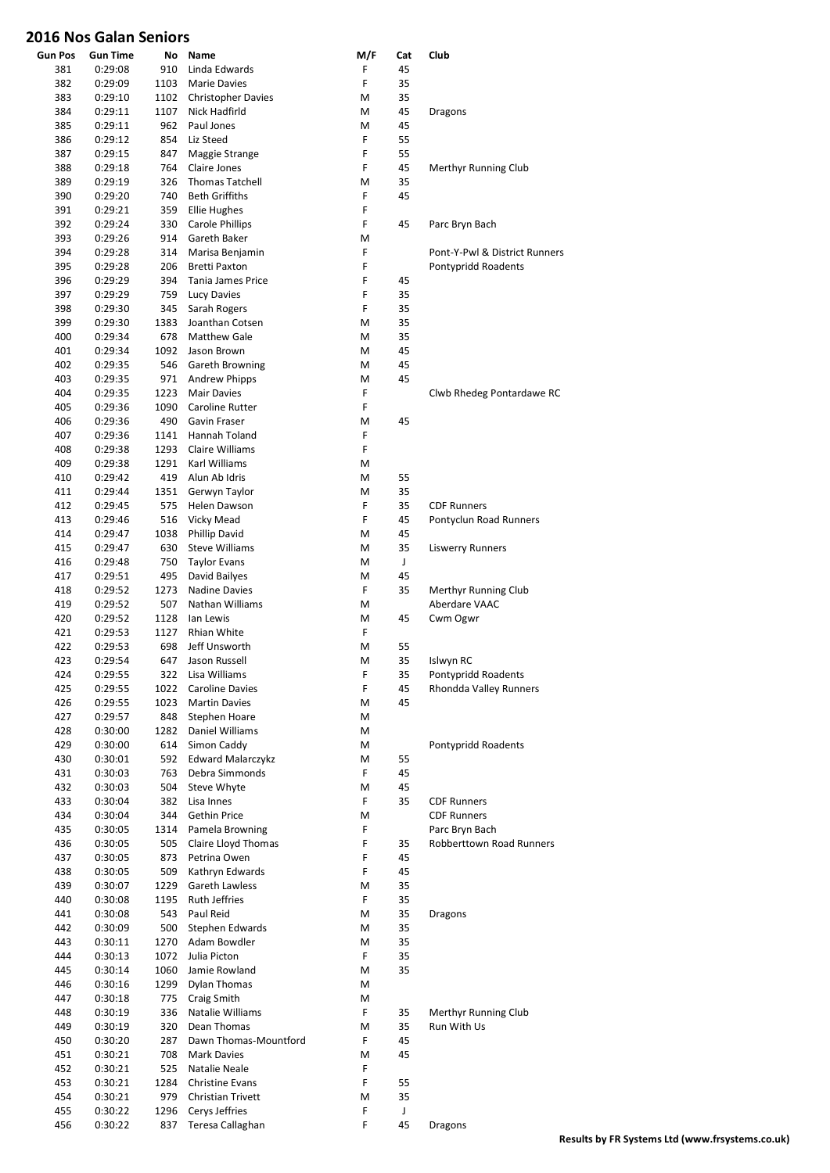| <b>Gun Pos</b> | Gun Time           | No         | Name                                   | M/F    | Cat      | Club                             |
|----------------|--------------------|------------|----------------------------------------|--------|----------|----------------------------------|
| 381            | 0:29:08            | 910        | Linda Edwards                          | F      | 45       |                                  |
| 382            | 0:29:09            | 1103       | <b>Marie Davies</b>                    | F      | 35       |                                  |
| 383            | 0:29:10            | 1102       | <b>Christopher Davies</b>              | М      | 35       |                                  |
| 384            | 0:29:11            | 1107       | Nick Hadfirld                          | М      | 45       | <b>Dragons</b>                   |
| 385            | 0:29:11            | 962        | Paul Jones                             | M      | 45       |                                  |
| 386            | 0:29:12            | 854        | Liz Steed                              | F      | 55       |                                  |
| 387            | 0:29:15            | 847        | Maggie Strange                         | F      | 55       |                                  |
| 388            | 0:29:18            | 764        | Claire Jones                           | F      | 45       | Merthyr Running Club             |
| 389            | 0:29:19            | 326        | <b>Thomas Tatchell</b>                 | М      | 35       |                                  |
| 390            | 0:29:20            | 740        | <b>Beth Griffiths</b>                  | F<br>F | 45       |                                  |
| 391<br>392     | 0:29:21            | 359<br>330 | <b>Ellie Hughes</b><br>Carole Phillips | F      | 45       | Parc Bryn Bach                   |
| 393            | 0:29:24<br>0:29:26 | 914        | Gareth Baker                           | M      |          |                                  |
| 394            | 0:29:28            | 314        | Marisa Benjamin                        | F      |          | Pont-Y-Pwl & District Runners    |
| 395            | 0:29:28            | 206        | <b>Bretti Paxton</b>                   | F      |          | Pontypridd Roadents              |
| 396            | 0:29:29            | 394        | Tania James Price                      | F      | 45       |                                  |
| 397            | 0:29:29            | 759        | Lucy Davies                            | F      | 35       |                                  |
| 398            | 0:29:30            | 345        | Sarah Rogers                           | F      | 35       |                                  |
| 399            | 0:29:30            | 1383       | Joanthan Cotsen                        | M      | 35       |                                  |
| 400            | 0:29:34            | 678        | <b>Matthew Gale</b>                    | M      | 35       |                                  |
| 401            | 0:29:34            | 1092       | Jason Brown                            | M      | 45       |                                  |
| 402            | 0:29:35            | 546        | Gareth Browning                        | M      | 45       |                                  |
| 403            | 0:29:35            | 971        | <b>Andrew Phipps</b>                   | M      | 45       |                                  |
| 404            | 0:29:35            | 1223       | <b>Mair Davies</b>                     | F      |          | Clwb Rhedeg Pontardawe RC        |
| 405            | 0:29:36            | 1090       | Caroline Rutter                        | F      |          |                                  |
| 406            | 0:29:36            | 490        | Gavin Fraser                           | M      | 45       |                                  |
| 407            | 0:29:36            | 1141       | Hannah Toland                          | F      |          |                                  |
| 408            | 0:29:38            | 1293       | Claire Williams                        | F      |          |                                  |
| 409            | 0:29:38            | 1291       | Karl Williams                          | M      |          |                                  |
| 410            | 0:29:42            | 419        | Alun Ab Idris                          | M      | 55       |                                  |
| 411            | 0:29:44            | 1351       | Gerwyn Taylor                          | M      | 35       |                                  |
| 412            | 0:29:45            | 575        | Helen Dawson                           | F      | 35       | <b>CDF Runners</b>               |
| 413            | 0:29:46            | 516        | Vicky Mead                             | F      | 45       | Pontyclun Road Runners           |
| 414            | 0:29:47            | 1038       | <b>Phillip David</b>                   | M      | 45       |                                  |
| 415            | 0:29:47            | 630        | <b>Steve Williams</b>                  | М      | 35       | <b>Liswerry Runners</b>          |
| 416            | 0:29:48            | 750        | <b>Taylor Evans</b>                    | M      | J        |                                  |
| 417            | 0:29:51            | 495        | David Bailyes                          | M      | 45       |                                  |
| 418            | 0:29:52            | 1273       | <b>Nadine Davies</b>                   | F      | 35       | Merthyr Running Club             |
| 419            | 0:29:52            | 507        | Nathan Williams                        | М      |          | Aberdare VAAC                    |
| 420            | 0:29:52            | 1128       | lan Lewis                              | М      | 45       | Cwm Ogwr                         |
| 421            | 0:29:53            | 1127       | Rhian White                            | F      |          |                                  |
| 422<br>423     | 0:29:53            | 698<br>647 | Jeff Unsworth<br>Jason Russell         | М<br>M | 55<br>35 |                                  |
| 424            | 0:29:54<br>0:29:55 | 322        | Lisa Williams                          | F      | 35       | Islwyn RC<br>Pontypridd Roadents |
| 425            | 0:29:55            | 1022       | Caroline Davies                        | F      | 45       | Rhondda Valley Runners           |
| 426            | 0:29:55            | 1023       | <b>Martin Davies</b>                   | M      | 45       |                                  |
| 427            | 0:29:57            | 848        | Stephen Hoare                          | М      |          |                                  |
| 428            | 0:30:00            | 1282       | Daniel Williams                        | M      |          |                                  |
| 429            | 0:30:00            | 614        | Simon Caddy                            | M      |          | Pontypridd Roadents              |
| 430            | 0:30:01            | 592        | <b>Edward Malarczykz</b>               | M      | 55       |                                  |
| 431            | 0:30:03            | 763        | Debra Simmonds                         | F      | 45       |                                  |
| 432            | 0:30:03            | 504        | Steve Whyte                            | M      | 45       |                                  |
| 433            | 0:30:04            | 382        | Lisa Innes                             | F      | 35       | <b>CDF Runners</b>               |
| 434            | 0:30:04            | 344        | Gethin Price                           | М      |          | <b>CDF Runners</b>               |
| 435            | 0:30:05            | 1314       | Pamela Browning                        | F      |          | Parc Bryn Bach                   |
| 436            | 0:30:05            | 505        | Claire Lloyd Thomas                    | F      | 35       | <b>Robberttown Road Runners</b>  |
| 437            | 0:30:05            | 873        | Petrina Owen                           | F      | 45       |                                  |
| 438            | 0:30:05            | 509        | Kathryn Edwards                        | F      | 45       |                                  |
| 439            | 0:30:07            | 1229       | Gareth Lawless                         | M      | 35       |                                  |
| 440            | 0:30:08            | 1195       | <b>Ruth Jeffries</b>                   | F      | 35       |                                  |
| 441            | 0:30:08            | 543        | Paul Reid                              | М      | 35       | <b>Dragons</b>                   |
| 442            | 0:30:09            | 500        | Stephen Edwards                        | M      | 35       |                                  |
| 443            | 0:30:11            | 1270       | Adam Bowdler                           | M      | 35       |                                  |
| 444            | 0:30:13            | 1072       | Julia Picton                           | F      | 35       |                                  |
| 445            | 0:30:14            | 1060       | Jamie Rowland                          | M      | 35       |                                  |
| 446            | 0:30:16            | 1299       | <b>Dylan Thomas</b>                    | М      |          |                                  |
| 447            | 0:30:18            | 775        | Craig Smith                            | М<br>F |          | Merthyr Running Club             |
| 448<br>449     | 0:30:19            | 336<br>320 | Natalie Williams<br>Dean Thomas        |        | 35       | Run With Us                      |
| 450            | 0:30:19<br>0:30:20 | 287        | Dawn Thomas-Mountford                  | M<br>F | 35<br>45 |                                  |
| 451            | 0:30:21            | 708        | Mark Davies                            | M      | 45       |                                  |
| 452            | 0:30:21            | 525        | Natalie Neale                          | F      |          |                                  |
| 453            | 0:30:21            | 1284       | <b>Christine Evans</b>                 | F      | 55       |                                  |
| 454            | 0:30:21            | 979        | Christian Trivett                      | M      | 35       |                                  |
| 455            | 0:30:22            | 1296       | Cerys Jeffries                         | F      | J        |                                  |
| 456            | 0:30:22            | 837        | Teresa Callaghan                       | F      | 45       | <b>Dragons</b>                   |
|                |                    |            |                                        |        |          |                                  |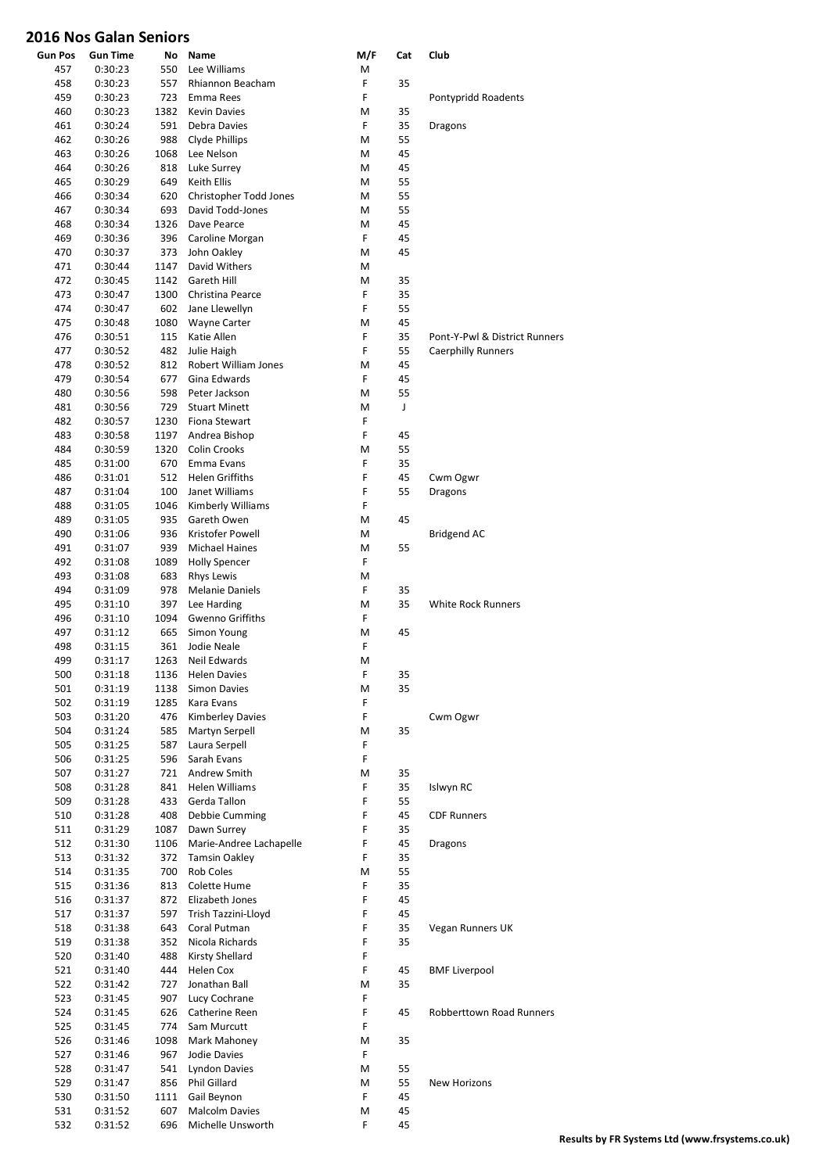| <b>Gun Pos</b> | Gun Time | No   | Name                    | M/F | Cat | Club                            |
|----------------|----------|------|-------------------------|-----|-----|---------------------------------|
| 457            | 0:30:23  | 550  | Lee Williams            | M   |     |                                 |
| 458            | 0:30:23  | 557  | Rhiannon Beacham        | F   | 35  |                                 |
| 459            | 0:30:23  | 723  | Emma Rees               | F   |     | Pontypridd Roadents             |
| 460            | 0:30:23  | 1382 | <b>Kevin Davies</b>     | M   | 35  |                                 |
| 461            | 0:30:24  | 591  | Debra Davies            | F   | 35  | Dragons                         |
| 462            | 0:30:26  | 988  | Clyde Phillips          | M   | 55  |                                 |
| 463            | 0:30:26  | 1068 | Lee Nelson              | M   | 45  |                                 |
| 464            | 0:30:26  | 818  | Luke Surrey             | M   | 45  |                                 |
| 465            | 0:30:29  | 649  | Keith Ellis             | M   | 55  |                                 |
| 466            | 0:30:34  | 620  | Christopher Todd Jones  | M   | 55  |                                 |
| 467            | 0:30:34  | 693  | David Todd-Jones        | M   | 55  |                                 |
| 468            | 0:30:34  | 1326 | Dave Pearce             | M   | 45  |                                 |
| 469            | 0:30:36  | 396  | Caroline Morgan         | F   | 45  |                                 |
| 470            | 0:30:37  | 373  | John Oakley             | M   | 45  |                                 |
| 471            | 0:30:44  | 1147 | David Withers           | M   |     |                                 |
| 472            | 0:30:45  | 1142 | Gareth Hill             | M   | 35  |                                 |
| 473            | 0:30:47  | 1300 | Christina Pearce        | F   | 35  |                                 |
| 474            | 0:30:47  | 602  | Jane Llewellyn          | F   | 55  |                                 |
| 475            | 0:30:48  | 1080 | <b>Wayne Carter</b>     | M   | 45  |                                 |
| 476            | 0:30:51  | 115  | Katie Allen             | F   | 35  | Pont-Y-Pwl & District Runners   |
| 477            | 0:30:52  | 482  | Julie Haigh             | F   | 55  | <b>Caerphilly Runners</b>       |
| 478            | 0:30:52  | 812  | Robert William Jones    | M   | 45  |                                 |
| 479            | 0:30:54  | 677  | Gina Edwards            | F   | 45  |                                 |
| 480            |          | 598  | Peter Jackson           | M   | 55  |                                 |
|                | 0:30:56  |      |                         |     |     |                                 |
| 481            | 0:30:56  | 729  | <b>Stuart Minett</b>    | M   | J   |                                 |
| 482            | 0:30:57  | 1230 | Fiona Stewart           | F   |     |                                 |
| 483            | 0:30:58  | 1197 | Andrea Bishop           | F   | 45  |                                 |
| 484            | 0:30:59  | 1320 | <b>Colin Crooks</b>     | M   | 55  |                                 |
| 485            | 0:31:00  | 670  | Emma Evans              | F   | 35  |                                 |
| 486            | 0:31:01  | 512  | <b>Helen Griffiths</b>  | F   | 45  | Cwm Ogwr                        |
| 487            | 0:31:04  | 100  | Janet Williams          | F   | 55  | <b>Dragons</b>                  |
| 488            | 0:31:05  | 1046 | Kimberly Williams       | F   |     |                                 |
| 489            | 0:31:05  | 935  | Gareth Owen             | M   | 45  |                                 |
| 490            | 0:31:06  | 936  | Kristofer Powell        | M   |     | <b>Bridgend AC</b>              |
| 491            | 0:31:07  | 939  | Michael Haines          | M   | 55  |                                 |
| 492            | 0:31:08  | 1089 | <b>Holly Spencer</b>    | F   |     |                                 |
| 493            | 0:31:08  | 683  | <b>Rhys Lewis</b>       | M   |     |                                 |
| 494            | 0:31:09  | 978  | <b>Melanie Daniels</b>  | F   | 35  |                                 |
| 495            | 0:31:10  | 397  | Lee Harding             | M   | 35  | <b>White Rock Runners</b>       |
| 496            | 0:31:10  | 1094 | Gwenno Griffiths        | F   |     |                                 |
| 497            | 0:31:12  | 665  | Simon Young             | M   | 45  |                                 |
| 498            | 0:31:15  | 361  | Jodie Neale             | F   |     |                                 |
| 499            | 0:31:17  | 1263 | Neil Edwards            | M   |     |                                 |
| 500            | 0:31:18  | 1136 | <b>Helen Davies</b>     | F   | 35  |                                 |
| 501            | 0:31:19  | 1138 | <b>Simon Davies</b>     | M   | 35  |                                 |
| 502            | 0:31:19  | 1285 | Kara Evans              | F   |     |                                 |
| 503            | 0:31:20  | 476  | <b>Kimberley Davies</b> | F   |     | Cwm Ogwr                        |
| 504            | 0:31:24  | 585  | Martyn Serpell          | M   | 35  |                                 |
| 505            | 0:31:25  | 587  | Laura Serpell           | F   |     |                                 |
| 506            | 0:31:25  | 596  | Sarah Evans             | F   |     |                                 |
| 507            | 0:31:27  | 721  | Andrew Smith            | M   | 35  |                                 |
| 508            | 0:31:28  | 841  | <b>Helen Williams</b>   | F   | 35  | Islwyn RC                       |
| 509            | 0:31:28  | 433  | Gerda Tallon            | F   | 55  |                                 |
| 510            | 0:31:28  | 408  | Debbie Cumming          | F   | 45  | <b>CDF Runners</b>              |
| 511            | 0:31:29  | 1087 | Dawn Surrey             | F   | 35  |                                 |
| 512            | 0:31:30  | 1106 | Marie-Andree Lachapelle | F   | 45  | <b>Dragons</b>                  |
| 513            | 0:31:32  | 372  | <b>Tamsin Oakley</b>    | F   | 35  |                                 |
| 514            | 0:31:35  | 700  | Rob Coles               | M   | 55  |                                 |
| 515            | 0:31:36  | 813  | Colette Hume            | F   | 35  |                                 |
| 516            | 0:31:37  | 872  | Elizabeth Jones         | F   | 45  |                                 |
| 517            | 0:31:37  | 597  | Trish Tazzini-Lloyd     | F   | 45  |                                 |
| 518            | 0:31:38  | 643  | Coral Putman            | F   | 35  | Vegan Runners UK                |
| 519            | 0:31:38  | 352  | Nicola Richards         | F   | 35  |                                 |
| 520            |          |      | Kirsty Shellard         | F   |     |                                 |
|                | 0:31:40  | 488  |                         |     |     |                                 |
| 521            | 0:31:40  | 444  | Helen Cox               | F   | 45  | <b>BMF Liverpool</b>            |
| 522            | 0:31:42  | 727  | Jonathan Ball           | M   | 35  |                                 |
| 523            | 0:31:45  | 907  | Lucy Cochrane           | F   |     |                                 |
| 524            | 0:31:45  | 626  | Catherine Reen          | F   | 45  | <b>Robberttown Road Runners</b> |
| 525            | 0:31:45  | 774  | Sam Murcutt             | F   |     |                                 |
| 526            | 0:31:46  | 1098 | Mark Mahoney            | M   | 35  |                                 |
| 527            | 0:31:46  | 967  | Jodie Davies            | F   |     |                                 |
| 528            | 0:31:47  | 541  | <b>Lyndon Davies</b>    | M   | 55  |                                 |
| 529            | 0:31:47  | 856  | Phil Gillard            | M   | 55  | New Horizons                    |
| 530            | 0:31:50  | 1111 | Gail Beynon             | F   | 45  |                                 |
| 531            | 0:31:52  | 607  | Malcolm Davies          | M   | 45  |                                 |
| 532            | 0:31:52  | 696  | Michelle Unsworth       | F   | 45  |                                 |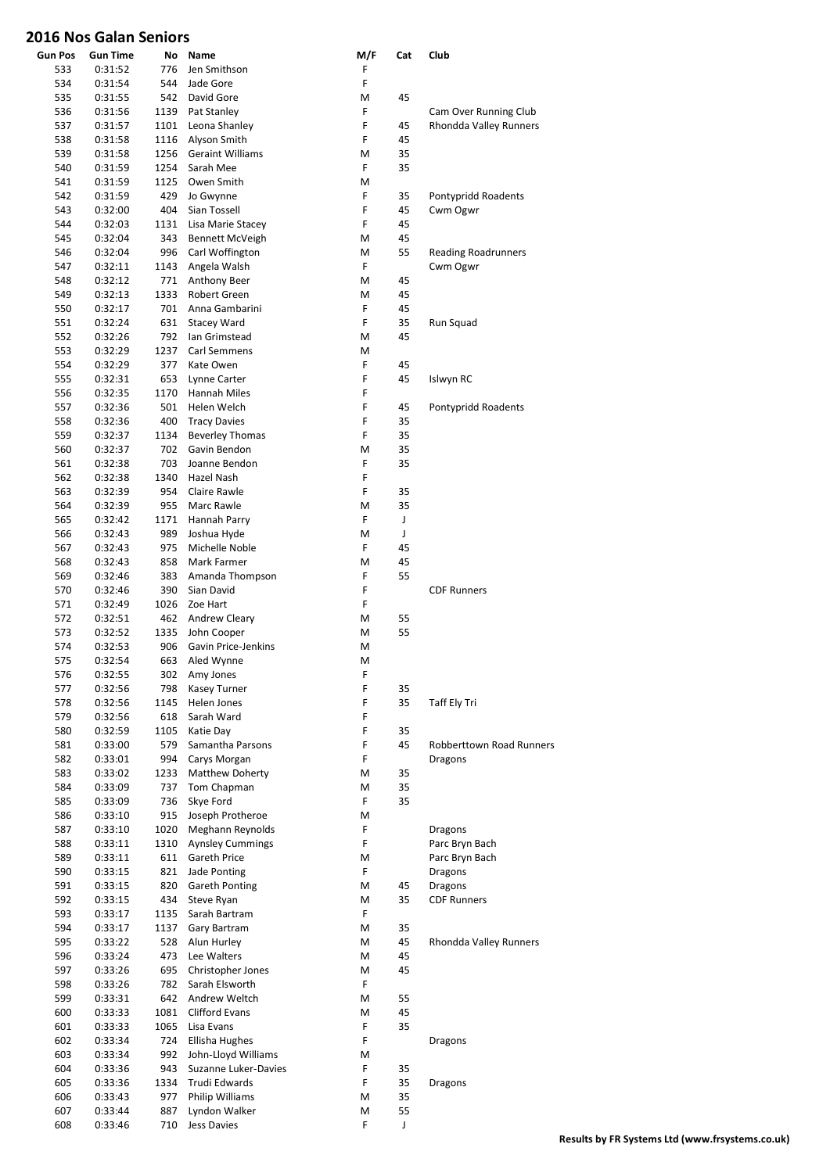| <b>Gun Pos</b> | <b>Gun Time</b>    | No         | Name                          | M/F    | Cat | Club                            |
|----------------|--------------------|------------|-------------------------------|--------|-----|---------------------------------|
| 533            | 0:31:52            | 776        | Jen Smithson                  | F      |     |                                 |
| 534            | 0:31:54            | 544        | Jade Gore                     | F      |     |                                 |
| 535            | 0:31:55            | 542        | David Gore                    | M      | 45  |                                 |
| 536            | 0:31:56            | 1139       | Pat Stanley                   | F      |     | Cam Over Running Club           |
| 537            | 0:31:57            | 1101       | Leona Shanley                 | F      | 45  | Rhondda Valley Runners          |
| 538            | 0:31:58            | 1116       | Alyson Smith                  | F      | 45  |                                 |
| 539            | 0:31:58            | 1256       | <b>Geraint Williams</b>       | M      | 35  |                                 |
| 540            | 0:31:59            | 1254       | Sarah Mee                     | F      | 35  |                                 |
| 541            | 0:31:59            | 1125       | Owen Smith                    | M      |     |                                 |
| 542            | 0:31:59            | 429        | Jo Gwynne                     | F      | 35  | Pontypridd Roadents             |
| 543            | 0:32:00            | 404        | Sian Tossell                  | F      | 45  | Cwm Ogwr                        |
| 544            | 0:32:03            | 1131       | Lisa Marie Stacey             | F      | 45  |                                 |
| 545            | 0:32:04            | 343        | <b>Bennett McVeigh</b>        | M      | 45  |                                 |
| 546            | 0:32:04            | 996        | Carl Woffington               | M      | 55  | <b>Reading Roadrunners</b>      |
| 547            | 0:32:11            | 1143       | Angela Walsh                  | F      |     | Cwm Ogwr                        |
| 548            | 0:32:12            | 771        | Anthony Beer                  | M      | 45  |                                 |
| 549            | 0:32:13            | 1333       | Robert Green                  | Μ      | 45  |                                 |
| 550            | 0:32:17            | 701        | Anna Gambarini                | F      | 45  |                                 |
| 551            | 0:32:24            | 631        | <b>Stacey Ward</b>            | F      | 35  | Run Squad                       |
| 552            | 0:32:26            | 792        | Ian Grimstead                 | М      | 45  |                                 |
| 553            | 0:32:29            | 1237       | Carl Semmens                  | M      |     |                                 |
| 554            | 0:32:29            | 377        | Kate Owen                     | F      | 45  |                                 |
| 555            | 0:32:31            | 653        | Lynne Carter                  | F      | 45  | Islwyn RC                       |
| 556            | 0:32:35            | 1170       | <b>Hannah Miles</b>           | F      |     |                                 |
| 557            | 0:32:36            | 501        | Helen Welch                   | F      | 45  | Pontypridd Roadents             |
| 558            | 0:32:36            | 400        | <b>Tracy Davies</b>           | F      | 35  |                                 |
| 559            | 0:32:37            | 1134       | <b>Beverley Thomas</b>        | F      | 35  |                                 |
| 560            | 0:32:37            | 702        | Gavin Bendon                  | Μ      | 35  |                                 |
| 561            | 0:32:38            | 703        | Joanne Bendon                 | F      | 35  |                                 |
| 562            | 0:32:38            | 1340       | Hazel Nash                    | F      |     |                                 |
| 563            | 0:32:39            | 954        | Claire Rawle                  | F      | 35  |                                 |
| 564            | 0:32:39            | 955        | Marc Rawle                    | Μ      | 35  |                                 |
| 565            | 0:32:42            | 1171       | Hannah Parry                  | F      | J   |                                 |
| 566            | 0:32:43            | 989        | Joshua Hyde                   | M<br>F | J   |                                 |
| 567            | 0:32:43            | 975        | Michelle Noble                |        | 45  |                                 |
| 568            | 0:32:43            | 858        | Mark Farmer                   | M      | 45  |                                 |
| 569            | 0:32:46            | 383<br>390 | Amanda Thompson<br>Sian David | F<br>F | 55  | <b>CDF Runners</b>              |
| 570<br>571     | 0:32:46<br>0:32:49 | 1026       | Zoe Hart                      | F      |     |                                 |
| 572            | 0:32:51            | 462        |                               | M      | 55  |                                 |
| 573            | 0:32:52            | 1335       | Andrew Cleary<br>John Cooper  | M      | 55  |                                 |
| 574            | 0:32:53            | 906        | Gavin Price-Jenkins           | М      |     |                                 |
| 575            | 0:32:54            | 663        | Aled Wynne                    | M      |     |                                 |
| 576            | 0:32:55            | 302        | Amy Jones                     | F      |     |                                 |
| 577            | 0:32:56            | 798        | Kasey Turner                  | F      | 35  |                                 |
| 578            | 0:32:56            | 1145       | Helen Jones                   | F      | 35  | Taff Ely Tri                    |
| 579            | 0:32:56            | 618        | Sarah Ward                    | F      |     |                                 |
| 580            | 0:32:59            | 1105       | Katie Day                     | F      | 35  |                                 |
| 581            | 0:33:00            | 579        | Samantha Parsons              | F      | 45  | <b>Robberttown Road Runners</b> |
| 582            | 0:33:01            | 994        | Carys Morgan                  | F      |     | <b>Dragons</b>                  |
| 583            | 0:33:02            | 1233       | Matthew Doherty               | M      | 35  |                                 |
| 584            | 0:33:09            | 737        | Tom Chapman                   | M      | 35  |                                 |
| 585            | 0:33:09            | 736        | Skye Ford                     | F      | 35  |                                 |
| 586            | 0:33:10            | 915        | Joseph Protheroe              | Μ      |     |                                 |
| 587            | 0:33:10            | 1020       | Meghann Reynolds              | F      |     | <b>Dragons</b>                  |
| 588            | 0:33:11            | 1310       | <b>Aynsley Cummings</b>       | F      |     | Parc Bryn Bach                  |
| 589            | 0:33:11            | 611        | Gareth Price                  | Μ      |     | Parc Bryn Bach                  |
| 590            | 0:33:15            | 821        | Jade Ponting                  | F      |     | <b>Dragons</b>                  |
| 591            | 0:33:15            | 820        | Gareth Ponting                | M      | 45  | <b>Dragons</b>                  |
| 592            | 0:33:15            | 434        | Steve Ryan                    | M      | 35  | <b>CDF Runners</b>              |
| 593            | 0:33:17            | 1135       | Sarah Bartram                 | F.     |     |                                 |
| 594            | 0:33:17            | 1137       | Gary Bartram                  | M      | 35  |                                 |
| 595            | 0:33:22            | 528        | Alun Hurley                   | M      | 45  | Rhondda Valley Runners          |
| 596            | 0:33:24            | 473        | Lee Walters                   | M      | 45  |                                 |
| 597            | 0:33:26            | 695        | Christopher Jones             | M      | 45  |                                 |
| 598            | 0:33:26            | 782        | Sarah Elsworth                | F      |     |                                 |
| 599            | 0:33:31            | 642        | Andrew Weltch                 | M      | 55  |                                 |
| 600            | 0:33:33            | 1081       | <b>Clifford Evans</b>         | M      | 45  |                                 |
| 601            | 0:33:33            | 1065       | Lisa Evans                    | F      | 35  |                                 |
| 602            | 0:33:34            | 724        | Ellisha Hughes                | F      |     | <b>Dragons</b>                  |
| 603            | 0:33:34            | 992        | John-Lloyd Williams           | M      |     |                                 |
| 604            | 0:33:36            | 943        | Suzanne Luker-Davies          | F      | 35  |                                 |
| 605            | 0:33:36            | 1334       | Trudi Edwards                 | F      | 35  | <b>Dragons</b>                  |
| 606            | 0:33:43            | 977        | Philip Williams               | M      | 35  |                                 |
| 607            | 0:33:44            | 887        | Lyndon Walker                 | M      | 55  |                                 |
| 608            | 0:33:46            | 710        | Jess Davies                   | F      | J   |                                 |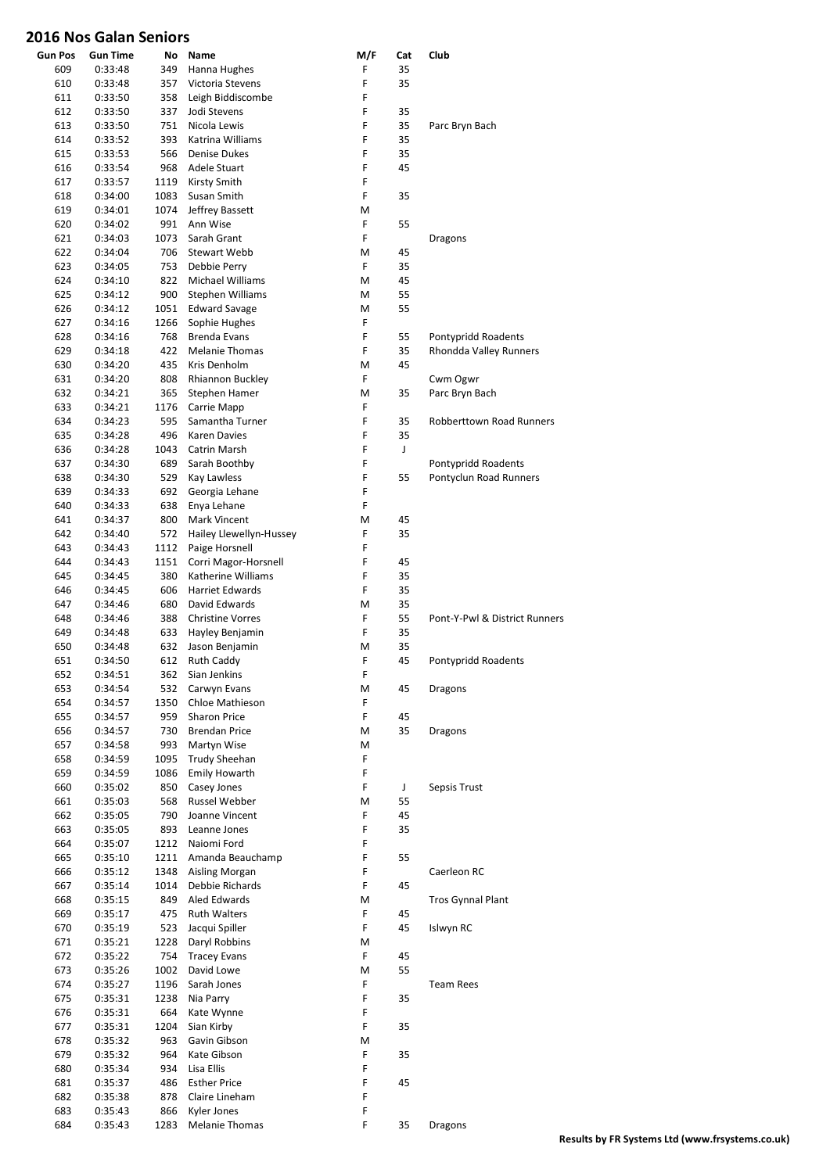| <b>Gun Pos</b> | <b>Gun Time</b>    | No          | Name                                         | M/F    | Cat      | Club                                          |
|----------------|--------------------|-------------|----------------------------------------------|--------|----------|-----------------------------------------------|
| 609            | 0:33:48            | 349         | Hanna Hughes                                 | F      | 35       |                                               |
| 610            | 0:33:48            | 357         | Victoria Stevens                             | F      | 35       |                                               |
| 611            | 0:33:50            | 358         | Leigh Biddiscombe                            | F      |          |                                               |
| 612<br>613     | 0:33:50<br>0:33:50 | 337<br>751  | Jodi Stevens<br>Nicola Lewis                 | F<br>F | 35<br>35 | Parc Bryn Bach                                |
| 614            | 0:33:52            | 393         | Katrina Williams                             | F      | 35       |                                               |
| 615            | 0:33:53            | 566         | <b>Denise Dukes</b>                          | F      | 35       |                                               |
| 616            | 0:33:54            | 968         | Adele Stuart                                 | F      | 45       |                                               |
| 617            | 0:33:57            | 1119        | Kirsty Smith                                 | F      |          |                                               |
| 618            | 0:34:00            | 1083        | Susan Smith                                  | F      | 35       |                                               |
| 619            | 0:34:01            | 1074        | Jeffrey Bassett                              | M      |          |                                               |
| 620<br>621     | 0:34:02<br>0:34:03 | 991<br>1073 | Ann Wise<br>Sarah Grant                      | F<br>F | 55       | <b>Dragons</b>                                |
| 622            | 0:34:04            | 706         | Stewart Webb                                 | M      | 45       |                                               |
| 623            | 0:34:05            | 753         | Debbie Perry                                 | F      | 35       |                                               |
| 624            | 0:34:10            | 822         | Michael Williams                             | M      | 45       |                                               |
| 625            | 0:34:12            | 900         | Stephen Williams                             | M      | 55       |                                               |
| 626            | 0:34:12            | 1051        | <b>Edward Savage</b>                         | M      | 55       |                                               |
| 627            | 0:34:16            | 1266        | Sophie Hughes                                | F      |          |                                               |
| 628<br>629     | 0:34:16<br>0:34:18 | 768<br>422  | <b>Brenda Evans</b><br><b>Melanie Thomas</b> | F<br>F | 55<br>35 | Pontypridd Roadents<br>Rhondda Valley Runners |
| 630            | 0:34:20            | 435         | Kris Denholm                                 | M      | 45       |                                               |
| 631            | 0:34:20            | 808         | Rhiannon Buckley                             | F      |          | Cwm Ogwr                                      |
| 632            | 0:34:21            | 365         | Stephen Hamer                                | M      | 35       | Parc Bryn Bach                                |
| 633            | 0:34:21            | 1176        | Carrie Mapp                                  | F      |          |                                               |
| 634            | 0:34:23            | 595         | Samantha Turner                              | F      | 35       | <b>Robberttown Road Runners</b>               |
| 635            | 0:34:28            | 496         | Karen Davies                                 | F      | 35       |                                               |
| 636            | 0:34:28            | 1043        | Catrin Marsh                                 | F      | J        |                                               |
| 637            | 0:34:30            | 689         | Sarah Boothby                                | F      |          | Pontypridd Roadents                           |
| 638            | 0:34:30            | 529         | Kay Lawless                                  | F      | 55       | Pontyclun Road Runners                        |
| 639<br>640     | 0:34:33<br>0:34:33 | 692<br>638  | Georgia Lehane<br>Enya Lehane                | F<br>F |          |                                               |
| 641            | 0:34:37            | 800         | Mark Vincent                                 | M      | 45       |                                               |
| 642            | 0:34:40            | 572         | Hailey Llewellyn-Hussey                      | F      | 35       |                                               |
| 643            | 0:34:43            | 1112        | Paige Horsnell                               | F      |          |                                               |
| 644            | 0:34:43            | 1151        | Corri Magor-Horsnell                         | F      | 45       |                                               |
| 645            | 0:34:45            | 380         | Katherine Williams                           | F      | 35       |                                               |
| 646            | 0:34:45            | 606         | Harriet Edwards                              | F      | 35       |                                               |
| 647            | 0:34:46            | 680         | David Edwards                                | M      | 35       |                                               |
| 648            | 0:34:46            | 388         | <b>Christine Vorres</b>                      | F      | 55       | Pont-Y-Pwl & District Runners                 |
| 649            | 0:34:48            | 633         | Hayley Benjamin                              | F      | 35       |                                               |
| 650<br>651     | 0:34:48<br>0:34:50 | 632<br>612  | Jason Benjamin<br><b>Ruth Caddy</b>          | M<br>F | 35<br>45 | Pontypridd Roadents                           |
| 652            | 0:34:51            | 362         | Sian Jenkins                                 | F      |          |                                               |
| 653            | 0:34:54            | 532         | Carwyn Evans                                 | M      | 45       | <b>Dragons</b>                                |
| 654            | 0:34:57            | 1350        | Chloe Mathieson                              | F      |          |                                               |
| 655            | 0:34:57            | 959         | <b>Sharon Price</b>                          | F      | 45       |                                               |
| 656            | 0:34:57            | 730         | <b>Brendan Price</b>                         | M      | 35       | Dragons                                       |
| 657            | 0:34:58            | 993         | Martyn Wise                                  | M      |          |                                               |
| 658            | 0:34:59            | 1095        | <b>Trudy Sheehan</b>                         | F      |          |                                               |
| 659            | 0:34:59            | 1086        | Emily Howarth                                | F      |          |                                               |
| 660<br>661     | 0:35:02<br>0:35:03 | 850<br>568  | Casey Jones<br>Russel Webber                 | F<br>M | J<br>55  | Sepsis Trust                                  |
| 662            | 0:35:05            | 790         | Joanne Vincent                               | F      | 45       |                                               |
| 663            | 0:35:05            | 893         | Leanne Jones                                 | F      | 35       |                                               |
| 664            | 0:35:07            | 1212        | Naiomi Ford                                  | F      |          |                                               |
| 665            | 0:35:10            | 1211        | Amanda Beauchamp                             | F      | 55       |                                               |
| 666            | 0:35:12            | 1348        | Aisling Morgan                               | F      |          | Caerleon RC                                   |
| 667            | 0:35:14            | 1014        | Debbie Richards                              | F      | 45       |                                               |
| 668            | 0:35:15            | 849         | Aled Edwards                                 | M      |          | <b>Tros Gynnal Plant</b>                      |
| 669            | 0:35:17            | 475         | <b>Ruth Walters</b>                          | F      | 45       |                                               |
| 670            | 0:35:19            | 523         | Jacqui Spiller                               | F      | 45       | Islwyn RC                                     |
| 671<br>672     | 0:35:21<br>0:35:22 | 1228<br>754 | Daryl Robbins<br><b>Tracey Evans</b>         | M<br>F | 45       |                                               |
| 673            | 0:35:26            | 1002        | David Lowe                                   | M      | 55       |                                               |
| 674            | 0:35:27            | 1196        | Sarah Jones                                  | F      |          | <b>Team Rees</b>                              |
| 675            | 0:35:31            | 1238        | Nia Parry                                    | F      | 35       |                                               |
| 676            | 0:35:31            | 664         | Kate Wynne                                   | F      |          |                                               |
| 677            | 0:35:31            | 1204        | Sian Kirby                                   | F      | 35       |                                               |
| 678            | 0:35:32            | 963         | Gavin Gibson                                 | M      |          |                                               |
| 679            | 0:35:32            | 964         | Kate Gibson                                  | F      | 35       |                                               |
| 680            | 0:35:34            | 934         | Lisa Ellis                                   | F      |          |                                               |
| 681<br>682     | 0:35:37            | 486<br>878  | <b>Esther Price</b><br>Claire Lineham        | F<br>F | 45       |                                               |
| 683            | 0:35:38<br>0:35:43 | 866         | Kyler Jones                                  | F      |          |                                               |
| 684            | 0:35:43            | 1283        | Melanie Thomas                               | F      | 35       | <b>Dragons</b>                                |
|                |                    |             |                                              |        |          |                                               |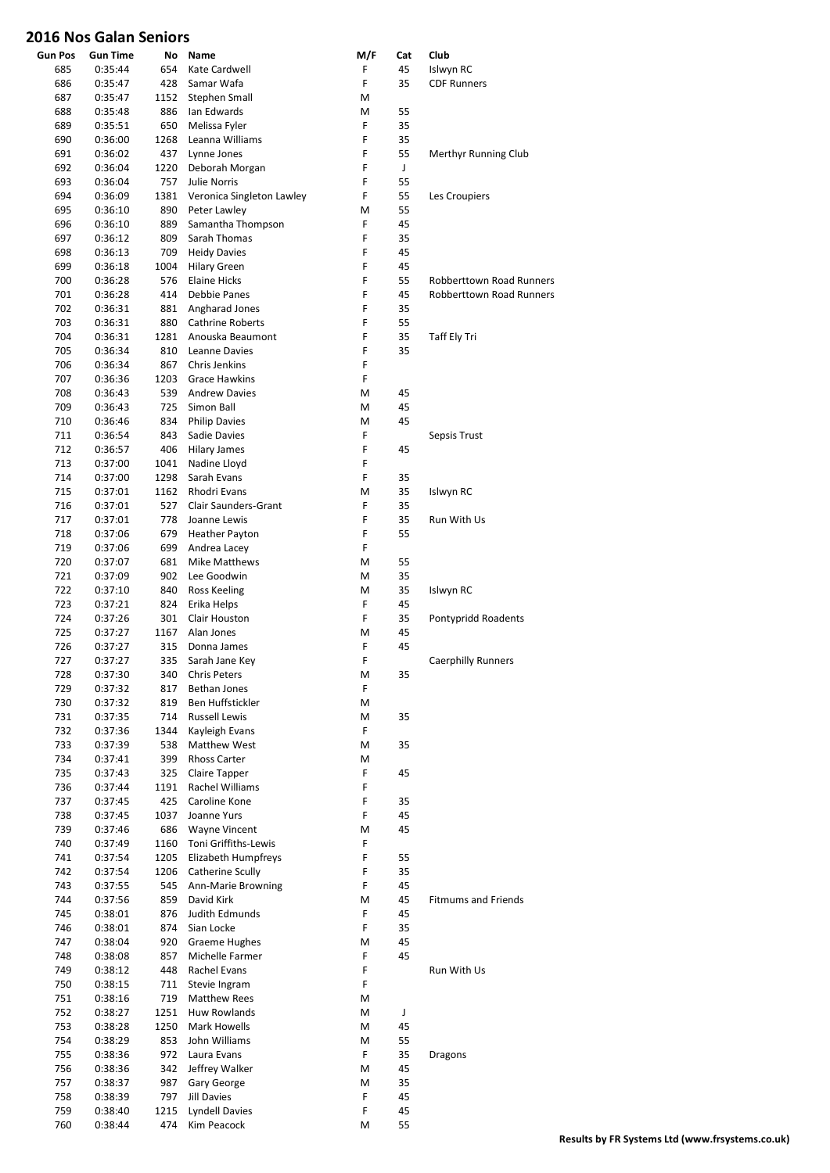| <b>Gun Pos</b> | <b>Gun Time</b>    | No         | Name                              | M/F    | Cat      | Club                            |
|----------------|--------------------|------------|-----------------------------------|--------|----------|---------------------------------|
| 685            | 0:35:44            | 654        | Kate Cardwell                     | F      | 45       | Islwyn RC                       |
| 686            | 0:35:47            | 428        | Samar Wafa                        | F      | 35       | <b>CDF Runners</b>              |
| 687            | 0:35:47            | 1152       | Stephen Small                     | M      |          |                                 |
| 688            | 0:35:48            | 886        | Ian Edwards                       | M      | 55       |                                 |
| 689            | 0:35:51            | 650        | Melissa Fyler                     | F      | 35       |                                 |
| 690            | 0:36:00            | 1268       | Leanna Williams                   | F      | 35       |                                 |
| 691            | 0:36:02            | 437        | Lynne Jones                       | F      | 55       | Merthyr Running Club            |
| 692            | 0:36:04            | 1220       | Deborah Morgan                    | F      | J        |                                 |
| 693            | 0:36:04            | 757        | <b>Julie Norris</b>               | F      | 55       |                                 |
| 694            | 0:36:09            | 1381       | Veronica Singleton Lawley         | F      | 55       | Les Croupiers                   |
| 695            | 0:36:10            | 890<br>889 | Peter Lawley<br>Samantha Thompson | M<br>F | 55<br>45 |                                 |
| 696<br>697     | 0:36:10<br>0:36:12 | 809        | Sarah Thomas                      | F      | 35       |                                 |
| 698            | 0:36:13            | 709        | <b>Heidy Davies</b>               | F      | 45       |                                 |
| 699            | 0:36:18            | 1004       | <b>Hilary Green</b>               | F      | 45       |                                 |
| 700            | 0:36:28            | 576        | <b>Elaine Hicks</b>               | F      | 55       | <b>Robberttown Road Runners</b> |
| 701            | 0:36:28            | 414        | Debbie Panes                      | F      | 45       | <b>Robberttown Road Runners</b> |
| 702            | 0:36:31            | 881        | Angharad Jones                    | F      | 35       |                                 |
| 703            | 0:36:31            | 880        | <b>Cathrine Roberts</b>           | F      | 55       |                                 |
| 704            | 0:36:31            | 1281       | Anouska Beaumont                  | F      | 35       | Taff Ely Tri                    |
| 705            | 0:36:34            | 810        | Leanne Davies                     | F      | 35       |                                 |
| 706            | 0:36:34            | 867        | <b>Chris Jenkins</b>              | F      |          |                                 |
| 707            | 0:36:36            | 1203       | <b>Grace Hawkins</b>              | F      |          |                                 |
| 708            | 0:36:43            | 539        | <b>Andrew Davies</b>              | M      | 45       |                                 |
| 709            | 0:36:43            | 725        | Simon Ball                        | М      | 45       |                                 |
| 710            | 0:36:46            | 834        | <b>Philip Davies</b>              | M      | 45       |                                 |
| 711            | 0:36:54            | 843        | Sadie Davies                      | F      |          | Sepsis Trust                    |
| 712            | 0:36:57            | 406        | Hilary James                      | F      | 45       |                                 |
| 713            | 0:37:00            | 1041       | Nadine Lloyd                      | F      |          |                                 |
| 714            | 0:37:00            | 1298       | Sarah Evans                       | F      | 35       |                                 |
| 715            | 0:37:01            | 1162       | Rhodri Evans                      | M      | 35       | Islwyn RC                       |
| 716            | 0:37:01            | 527        | <b>Clair Saunders-Grant</b>       | F      | 35       |                                 |
| 717            | 0:37:01            | 778        | Joanne Lewis                      | F      | 35       | Run With Us                     |
| 718            | 0:37:06            | 679        | <b>Heather Payton</b>             | F      | 55       |                                 |
| 719            | 0:37:06            | 699        | Andrea Lacey                      | F      |          |                                 |
| 720            | 0:37:07            | 681        | Mike Matthews                     | М      | 55       |                                 |
| 721            | 0:37:09            | 902        | Lee Goodwin                       | м      | 35       |                                 |
| 722            | 0:37:10            | 840        | Ross Keeling                      | M      | 35       | Islwyn RC                       |
| 723            | 0:37:21            | 824        | Erika Helps                       | F      | 45       |                                 |
| 724            | 0:37:26            | 301        | Clair Houston                     | F      | 35       | Pontypridd Roadents             |
| 725            | 0:37:27            | 1167       | Alan Jones                        | M      | 45       |                                 |
| 726            | 0:37:27            | 315        | Donna James                       | F<br>F | 45       |                                 |
| 727            | 0:37:27            | 335        | Sarah Jane Key                    |        |          | <b>Caerphilly Runners</b>       |
| 728<br>729     | 0:37:30            | 340<br>817 | <b>Chris Peters</b>               | М<br>F | 35       |                                 |
| 730            | 0:37:32<br>0:37:32 | 819        | Bethan Jones<br>Ben Huffstickler  | M      |          |                                 |
| 731            | 0:37:35            | 714        | <b>Russell Lewis</b>              | м      | 35       |                                 |
| 732            | 0:37:36            | 1344       | Kayleigh Evans                    | F      |          |                                 |
| 733            | 0:37:39            | 538        | Matthew West                      | M      | 35       |                                 |
| 734            | 0:37:41            | 399        | <b>Rhoss Carter</b>               | м      |          |                                 |
| 735            | 0:37:43            | 325        | Claire Tapper                     | F      | 45       |                                 |
| 736            | 0:37:44            | 1191       | Rachel Williams                   | F      |          |                                 |
| 737            | 0:37:45            | 425        | Caroline Kone                     | F      | 35       |                                 |
| 738            | 0:37:45            | 1037       | Joanne Yurs                       | F      | 45       |                                 |
| 739            | 0:37:46            | 686        | Wayne Vincent                     | M      | 45       |                                 |
| 740            | 0:37:49            | 1160       | Toni Griffiths-Lewis              | F      |          |                                 |
| 741            | 0:37:54            | 1205       | Elizabeth Humpfreys               | F      | 55       |                                 |
| 742            | 0:37:54            | 1206       | Catherine Scully                  | F      | 35       |                                 |
| 743            | 0:37:55            | 545        | Ann-Marie Browning                | F      | 45       |                                 |
| 744            | 0:37:56            | 859        | David Kirk                        | М      | 45       | <b>Fitmums and Friends</b>      |
| 745            | 0:38:01            | 876        | Judith Edmunds                    | F      | 45       |                                 |
| 746            | 0:38:01            | 874        | Sian Locke                        | F      | 35       |                                 |
| 747            | 0:38:04            | 920        | Graeme Hughes                     | M      | 45       |                                 |
| 748            | 0:38:08            | 857        | Michelle Farmer                   | F      | 45       |                                 |
| 749            | 0:38:12            | 448        | Rachel Evans                      | F      |          | Run With Us                     |
| 750            | 0:38:15            | 711        | Stevie Ingram                     | F      |          |                                 |
| 751            | 0:38:16            | 719        | Matthew Rees                      | м      |          |                                 |
| 752            | 0:38:27            | 1251       | Huw Rowlands                      | M      | J        |                                 |
| 753            | 0:38:28            | 1250       | Mark Howells                      | м      | 45       |                                 |
| 754<br>755     | 0:38:29<br>0:38:36 | 853<br>972 | John Williams<br>Laura Evans      | M<br>F | 55<br>35 |                                 |
| 756            | 0:38:36            | 342        | Jeffrey Walker                    | м      | 45       | Dragons                         |
| 757            | 0:38:37            | 987        | Gary George                       | M      | 35       |                                 |
| 758            | 0:38:39            | 797        | Jill Davies                       | F      | 45       |                                 |
| 759            | 0:38:40            | 1215       | <b>Lyndell Davies</b>             | F      | 45       |                                 |
| 760            | 0:38:44            | 474        | Kim Peacock                       | М      | 55       |                                 |
|                |                    |            |                                   |        |          |                                 |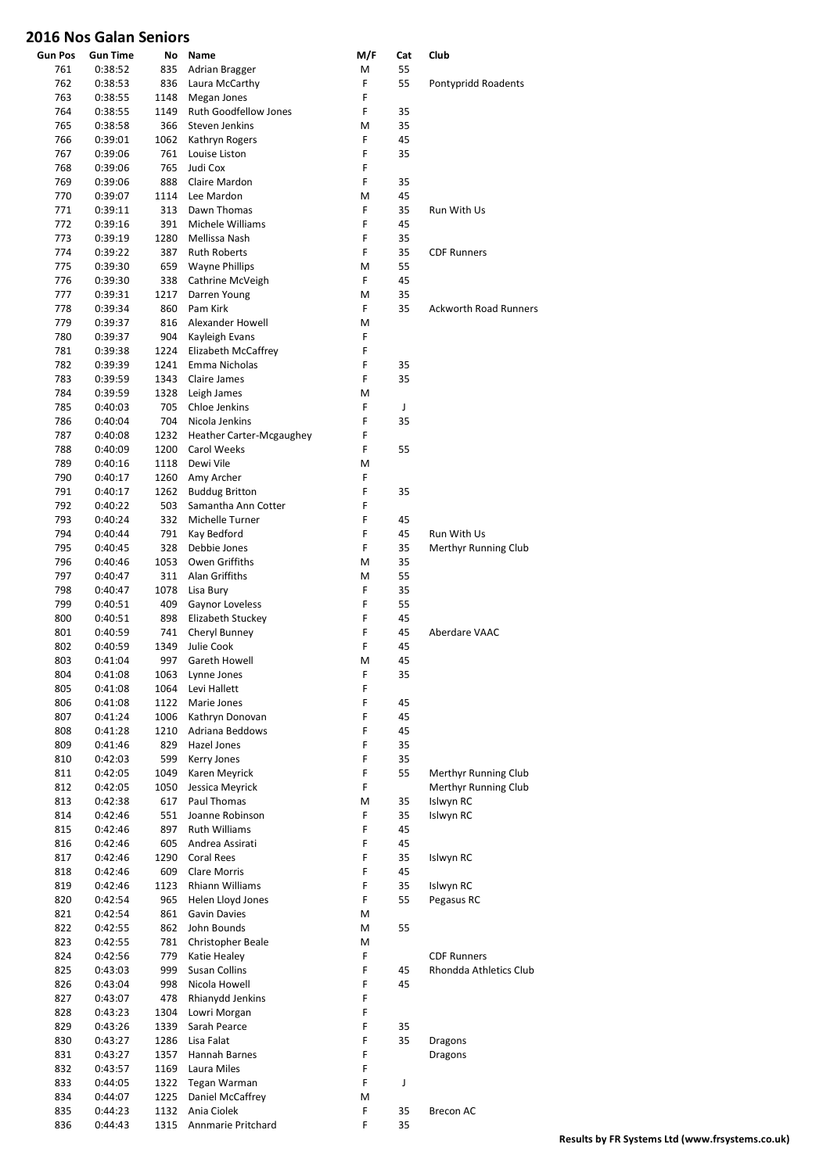| <b>Gun Pos</b> | <b>Gun Time</b>    | No           | Name                                    | M/F    | Cat      | Club                         |
|----------------|--------------------|--------------|-----------------------------------------|--------|----------|------------------------------|
| 761            | 0:38:52            | 835          | Adrian Bragger                          | M      | 55       |                              |
| 762            | 0:38:53            | 836          | Laura McCarthy                          | F      | 55       | Pontypridd Roadents          |
| 763            | 0:38:55            | 1148         | Megan Jones                             | F<br>F |          |                              |
| 764<br>765     | 0:38:55<br>0:38:58 | 1149<br>366  | Ruth Goodfellow Jones<br>Steven Jenkins | M      | 35<br>35 |                              |
| 766            | 0:39:01            | 1062         | Kathryn Rogers                          | F      | 45       |                              |
| 767            | 0:39:06            | 761          | Louise Liston                           | F      | 35       |                              |
| 768            | 0:39:06            | 765          | Judi Cox                                | F      |          |                              |
| 769            | 0:39:06            | 888          | Claire Mardon                           | F      | 35       |                              |
| 770            | 0:39:07            | 1114         | Lee Mardon                              | M      | 45       |                              |
| 771            | 0:39:11            | 313          | Dawn Thomas                             | F<br>F | 35       | Run With Us                  |
| 772<br>773     | 0:39:16<br>0:39:19 | 391<br>1280  | Michele Williams<br>Mellissa Nash       | F      | 45<br>35 |                              |
| 774            | 0:39:22            | 387          | <b>Ruth Roberts</b>                     | F      | 35       | <b>CDF Runners</b>           |
| 775            | 0:39:30            | 659          | <b>Wayne Phillips</b>                   | M      | 55       |                              |
| 776            | 0:39:30            | 338          | Cathrine McVeigh                        | F      | 45       |                              |
| 777            | 0:39:31            | 1217         | Darren Young                            | M      | 35       |                              |
| 778            | 0:39:34            | 860          | Pam Kirk                                | F      | 35       | <b>Ackworth Road Runners</b> |
| 779            | 0:39:37            | 816          | Alexander Howell                        | M      |          |                              |
| 780<br>781     | 0:39:37<br>0:39:38 | 904<br>1224  | Kayleigh Evans<br>Elizabeth McCaffrey   | F<br>F |          |                              |
| 782            | 0:39:39            | 1241         | Emma Nicholas                           | F      | 35       |                              |
| 783            | 0:39:59            | 1343         | Claire James                            | F      | 35       |                              |
| 784            | 0:39:59            | 1328         | Leigh James                             | M      |          |                              |
| 785            | 0:40:03            | 705          | Chloe Jenkins                           | F      | J        |                              |
| 786            | 0:40:04            | 704          | Nicola Jenkins                          | F      | 35       |                              |
| 787            | 0:40:08            | 1232         | Heather Carter-Mcgaughey                | F      |          |                              |
| 788            | 0:40:09            | 1200         | <b>Carol Weeks</b>                      | F      | 55       |                              |
| 789<br>790     | 0:40:16<br>0:40:17 | 1118<br>1260 | Dewi Vile<br>Amy Archer                 | M<br>F |          |                              |
| 791            | 0:40:17            | 1262         | <b>Buddug Britton</b>                   | F      | 35       |                              |
| 792            | 0:40:22            | 503          | Samantha Ann Cotter                     | F      |          |                              |
| 793            | 0:40:24            | 332          | Michelle Turner                         | F      | 45       |                              |
| 794            | 0:40:44            | 791          | Kay Bedford                             | F      | 45       | Run With Us                  |
| 795            | 0:40:45            | 328          | Debbie Jones                            | F      | 35       | Merthyr Running Club         |
| 796            | 0:40:46            | 1053         | Owen Griffiths                          | M      | 35       |                              |
| 797<br>798     | 0:40:47<br>0:40:47 | 311<br>1078  | Alan Griffiths                          | M<br>F | 55<br>35 |                              |
| 799            | 0:40:51            | 409          | Lisa Bury<br>Gaynor Loveless            | F      | 55       |                              |
| 800            | 0:40:51            | 898          | Elizabeth Stuckey                       | F      | 45       |                              |
| 801            | 0:40:59            | 741          | Cheryl Bunney                           | F      | 45       | Aberdare VAAC                |
| 802            | 0:40:59            | 1349         | Julie Cook                              | F      | 45       |                              |
| 803            | 0:41:04            | 997          | Gareth Howell                           | M      | 45       |                              |
| 804            | 0:41:08            | 1063         | Lynne Jones                             | F      | 35       |                              |
| 805<br>806     | 0:41:08<br>0:41:08 | 1064<br>1122 | Levi Hallett<br>Marie Jones             | F<br>F | 45       |                              |
| 807            | 0:41:24            | 1006         | Kathryn Donovan                         | F      | 45       |                              |
| 808            | 0:41:28            | 1210         | Adriana Beddows                         | F      | 45       |                              |
| 809            | 0:41:46            | 829          | Hazel Jones                             | F      | 35       |                              |
| 810            | 0:42:03            | 599          | Kerry Jones                             | F      | 35       |                              |
| 811            | 0:42:05            | 1049         | Karen Meyrick                           | F      | 55       | Merthyr Running Club         |
| 812            | 0:42:05            | 1050         | Jessica Meyrick                         | F      |          | Merthyr Running Club         |
| 813            | 0:42:38            | 617          | Paul Thomas                             | M<br>F | 35       | Islwyn RC                    |
| 814<br>815     | 0:42:46<br>0:42:46 | 551<br>897   | Joanne Robinson<br><b>Ruth Williams</b> | F      | 35<br>45 | Islwyn RC                    |
| 816            | 0:42:46            | 605          | Andrea Assirati                         | F      | 45       |                              |
| 817            | 0:42:46            | 1290         | Coral Rees                              | F      | 35       | Islwyn RC                    |
| 818            | 0:42:46            | 609          | Clare Morris                            | F      | 45       |                              |
| 819            | 0:42:46            | 1123         | Rhiann Williams                         | F      | 35       | Islwyn RC                    |
| 820            | 0:42:54            | 965          | Helen Lloyd Jones                       | F      | 55       | Pegasus RC                   |
| 821            | 0:42:54            | 861          | Gavin Davies                            | M      |          |                              |
| 822<br>823     | 0:42:55<br>0:42:55 | 862<br>781   | John Bounds<br>Christopher Beale        | M<br>M | 55       |                              |
| 824            | 0:42:56            | 779          | Katie Healey                            | F      |          | <b>CDF Runners</b>           |
| 825            | 0:43:03            | 999          | Susan Collins                           | F      | 45       | Rhondda Athletics Club       |
| 826            | 0:43:04            | 998          | Nicola Howell                           | F      | 45       |                              |
| 827            | 0:43:07            | 478          | Rhianydd Jenkins                        | F      |          |                              |
| 828            | 0:43:23            | 1304         | Lowri Morgan                            | F      |          |                              |
| 829            | 0:43:26            | 1339         | Sarah Pearce                            | F      | 35       |                              |
| 830            | 0:43:27            | 1286         | Lisa Falat                              | F<br>F | 35       | <b>Dragons</b>               |
| 831<br>832     | 0:43:27<br>0:43:57 | 1357<br>1169 | Hannah Barnes<br>Laura Miles            | F      |          | Dragons                      |
| 833            | 0:44:05            | 1322         | Tegan Warman                            | F      | J        |                              |
| 834            | 0:44:07            | 1225         | Daniel McCaffrey                        | M      |          |                              |
| 835            | 0:44:23            | 1132         | Ania Ciolek                             | F      | 35       | Brecon AC                    |
| 836            | 0:44:43            | 1315         | Annmarie Pritchard                      | F      | 35       |                              |